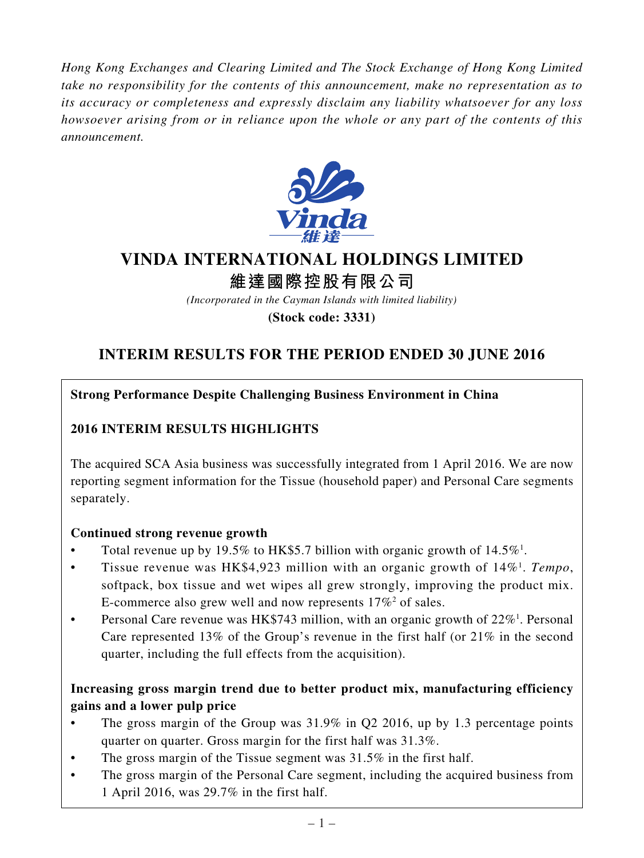*Hong Kong Exchanges and Clearing Limited and The Stock Exchange of Hong Kong Limited take no responsibility for the contents of this announcement, make no representation as to its accuracy or completeness and expressly disclaim any liability whatsoever for any loss howsoever arising from or in reliance upon the whole or any part of the contents of this announcement.*



# **VINDA INTERNATIONAL HOLDINGS LIMITED**

**維達國際控股有限公司**

*(Incorporated in the Cayman Islands with limited liability)*

**(Stock code: 3331)**

# **INTERIM RESULTS FOR THE PERIOD ENDED 30 JUNE 2016**

# **Strong Performance Despite Challenging Business Environment in China**

# **2016 INTERIM RESULTS HIGHLIGHTS**

The acquired SCA Asia business was successfully integrated from 1 April 2016. We are now reporting segment information for the Tissue (household paper) and Personal Care segments separately.

# **Continued strong revenue growth**

- Total revenue up by 19.5% to HK\$5.7 billion with organic growth of  $14.5\%$ <sup>1</sup>.
- Tissue revenue was HK\$4,923 million with an organic growth of 14%<sup>1</sup>. Tempo, softpack, box tissue and wet wipes all grew strongly, improving the product mix. E-commerce also grew well and now represents  $17\%^2$  of sales.
- Personal Care revenue was HK\$743 million, with an organic growth of  $22\%$ <sup>1</sup>. Personal Care represented 13% of the Group's revenue in the first half (or 21% in the second quarter, including the full effects from the acquisition).

# **Increasing gross margin trend due to better product mix, manufacturing efficiency gains and a lower pulp price**

- The gross margin of the Group was 31.9% in Q2 2016, up by 1.3 percentage points quarter on quarter. Gross margin for the first half was 31.3%.
- The gross margin of the Tissue segment was  $31.5\%$  in the first half.
- The gross margin of the Personal Care segment, including the acquired business from 1 April 2016, was 29.7% in the first half.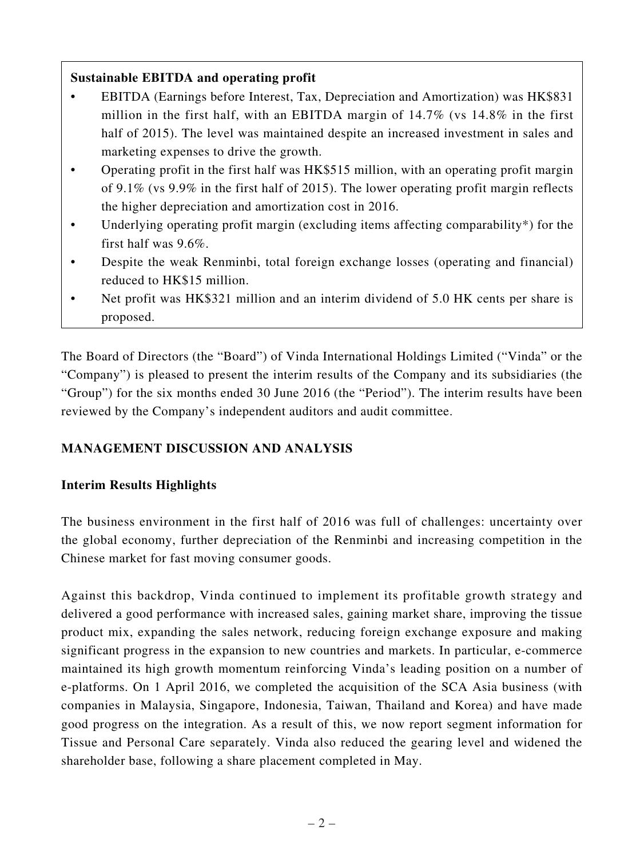# **Sustainable EBITDA and operating profit**

- EBITDA (Earnings before Interest, Tax, Depreciation and Amortization) was HK\$831 million in the first half, with an EBITDA margin of 14.7% (vs 14.8% in the first half of 2015). The level was maintained despite an increased investment in sales and marketing expenses to drive the growth.
- Operating profit in the first half was HK\$515 million, with an operating profit margin of 9.1% (vs 9.9% in the first half of 2015). The lower operating profit margin reflects the higher depreciation and amortization cost in 2016.
- Underlying operating profit margin (excluding items affecting comparability\*) for the first half was 9.6%.
- Despite the weak Renminbi, total foreign exchange losses (operating and financial) reduced to HK\$15 million.
- Net profit was HK\$321 million and an interim dividend of 5.0 HK cents per share is proposed.

The Board of Directors (the "Board") of Vinda International Holdings Limited ("Vinda" or the "Company") is pleased to present the interim results of the Company and its subsidiaries (the "Group") for the six months ended 30 June 2016 (the "Period"). The interim results have been reviewed by the Company's independent auditors and audit committee.

# **MANAGEMENT DISCUSSION AND ANALYSIS**

# **Interim Results Highlights**

The business environment in the first half of 2016 was full of challenges: uncertainty over the global economy, further depreciation of the Renminbi and increasing competition in the Chinese market for fast moving consumer goods.

Against this backdrop, Vinda continued to implement its profitable growth strategy and delivered a good performance with increased sales, gaining market share, improving the tissue product mix, expanding the sales network, reducing foreign exchange exposure and making significant progress in the expansion to new countries and markets. In particular, e-commerce maintained its high growth momentum reinforcing Vinda's leading position on a number of e-platforms. On 1 April 2016, we completed the acquisition of the SCA Asia business (with companies in Malaysia, Singapore, Indonesia, Taiwan, Thailand and Korea) and have made good progress on the integration. As a result of this, we now report segment information for Tissue and Personal Care separately. Vinda also reduced the gearing level and widened the shareholder base, following a share placement completed in May.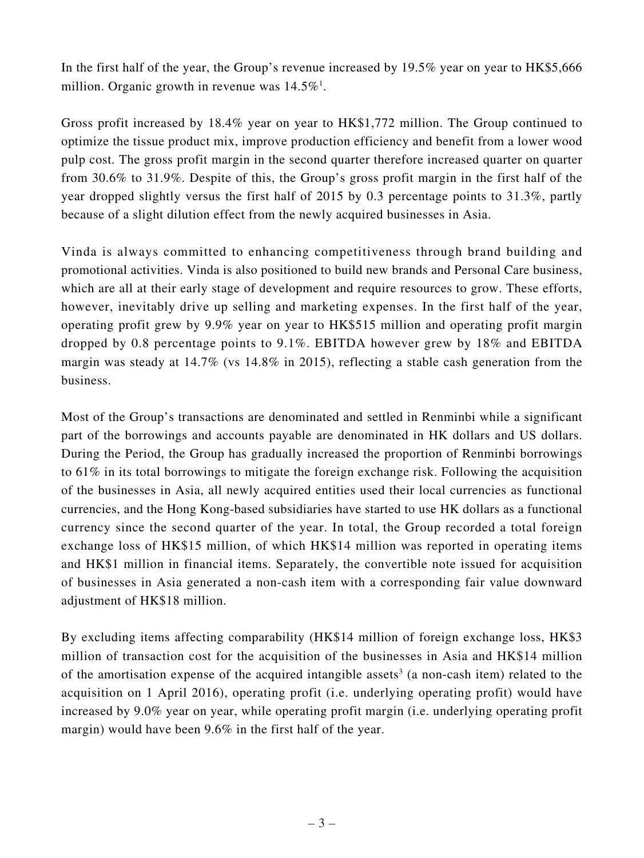In the first half of the year, the Group's revenue increased by 19.5% year on year to HK\$5,666 million. Organic growth in revenue was  $14.5\%$ <sup>1</sup>.

Gross profit increased by 18.4% year on year to HK\$1,772 million. The Group continued to optimize the tissue product mix, improve production efficiency and benefit from a lower wood pulp cost. The gross profit margin in the second quarter therefore increased quarter on quarter from 30.6% to 31.9%. Despite of this, the Group's gross profit margin in the first half of the year dropped slightly versus the first half of 2015 by 0.3 percentage points to 31.3%, partly because of a slight dilution effect from the newly acquired businesses in Asia.

Vinda is always committed to enhancing competitiveness through brand building and promotional activities. Vinda is also positioned to build new brands and Personal Care business, which are all at their early stage of development and require resources to grow. These efforts, however, inevitably drive up selling and marketing expenses. In the first half of the year, operating profit grew by 9.9% year on year to HK\$515 million and operating profit margin dropped by 0.8 percentage points to 9.1%. EBITDA however grew by 18% and EBITDA margin was steady at 14.7% (vs 14.8% in 2015), reflecting a stable cash generation from the business.

Most of the Group's transactions are denominated and settled in Renminbi while a significant part of the borrowings and accounts payable are denominated in HK dollars and US dollars. During the Period, the Group has gradually increased the proportion of Renminbi borrowings to 61% in its total borrowings to mitigate the foreign exchange risk. Following the acquisition of the businesses in Asia, all newly acquired entities used their local currencies as functional currencies, and the Hong Kong-based subsidiaries have started to use HK dollars as a functional currency since the second quarter of the year. In total, the Group recorded a total foreign exchange loss of HK\$15 million, of which HK\$14 million was reported in operating items and HK\$1 million in financial items. Separately, the convertible note issued for acquisition of businesses in Asia generated a non-cash item with a corresponding fair value downward adjustment of HK\$18 million.

By excluding items affecting comparability (HK\$14 million of foreign exchange loss, HK\$3 million of transaction cost for the acquisition of the businesses in Asia and HK\$14 million of the amortisation expense of the acquired intangible assets<sup>3</sup> (a non-cash item) related to the acquisition on 1 April 2016), operating profit (i.e. underlying operating profit) would have increased by 9.0% year on year, while operating profit margin (i.e. underlying operating profit margin) would have been 9.6% in the first half of the year.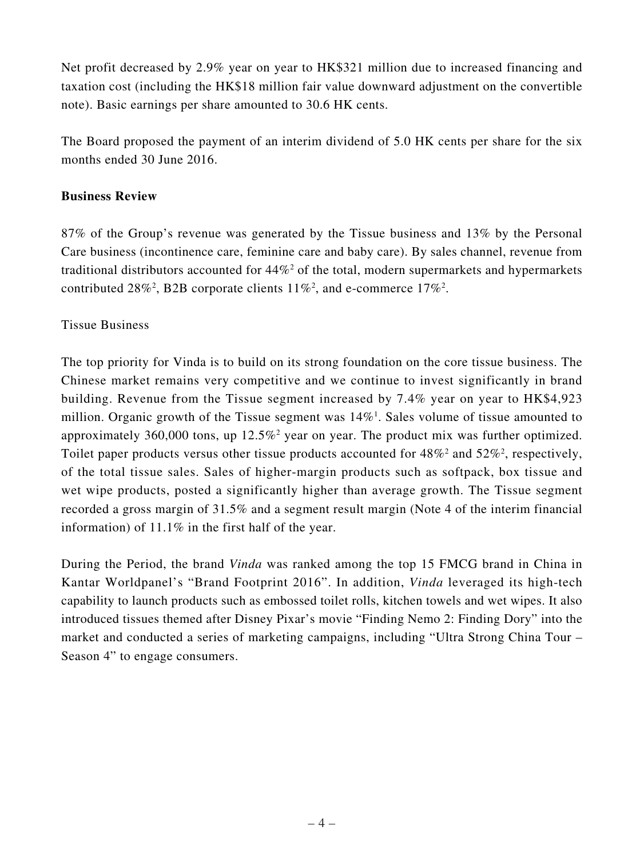Net profit decreased by 2.9% year on year to HK\$321 million due to increased financing and taxation cost (including the HK\$18 million fair value downward adjustment on the convertible note). Basic earnings per share amounted to 30.6 HK cents.

The Board proposed the payment of an interim dividend of 5.0 HK cents per share for the six months ended 30 June 2016.

# **Business Review**

87% of the Group's revenue was generated by the Tissue business and 13% by the Personal Care business (incontinence care, feminine care and baby care). By sales channel, revenue from traditional distributors accounted for  $44\%$ <sup>2</sup> of the total, modern supermarkets and hypermarkets contributed 28%<sup>2</sup>, B2B corporate clients  $11\%$ <sup>2</sup>, and e-commerce  $17\%$ <sup>2</sup>.

# Tissue Business

The top priority for Vinda is to build on its strong foundation on the core tissue business. The Chinese market remains very competitive and we continue to invest significantly in brand building. Revenue from the Tissue segment increased by 7.4% year on year to HK\$4,923 million. Organic growth of the Tissue segment was  $14\%$ <sup>1</sup>. Sales volume of tissue amounted to approximately 360,000 tons, up  $12.5\%$ <sup>2</sup> year on year. The product mix was further optimized. Toilet paper products versus other tissue products accounted for  $48\%^2$  and  $52\%^2$ , respectively, of the total tissue sales. Sales of higher-margin products such as softpack, box tissue and wet wipe products, posted a significantly higher than average growth. The Tissue segment recorded a gross margin of 31.5% and a segment result margin (Note 4 of the interim financial information) of 11.1% in the first half of the year.

During the Period, the brand *Vinda* was ranked among the top 15 FMCG brand in China in Kantar Worldpanel's "Brand Footprint 2016". In addition, *Vinda* leveraged its high-tech capability to launch products such as embossed toilet rolls, kitchen towels and wet wipes. It also introduced tissues themed after Disney Pixar's movie "Finding Nemo 2: Finding Dory" into the market and conducted a series of marketing campaigns, including "Ultra Strong China Tour – Season 4" to engage consumers.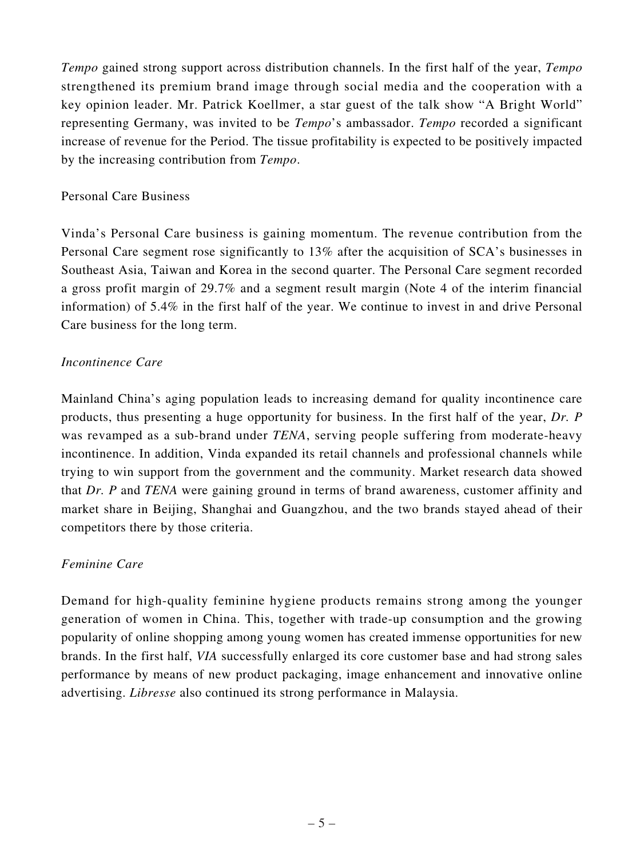*Tempo* gained strong support across distribution channels. In the first half of the year, *Tempo* strengthened its premium brand image through social media and the cooperation with a key opinion leader. Mr. Patrick Koellmer, a star guest of the talk show "A Bright World" representing Germany, was invited to be *Tempo*'s ambassador. *Tempo* recorded a significant increase of revenue for the Period. The tissue profitability is expected to be positively impacted by the increasing contribution from *Tempo*.

## Personal Care Business

Vinda's Personal Care business is gaining momentum. The revenue contribution from the Personal Care segment rose significantly to 13% after the acquisition of SCA's businesses in Southeast Asia, Taiwan and Korea in the second quarter. The Personal Care segment recorded a gross profit margin of 29.7% and a segment result margin (Note 4 of the interim financial information) of 5.4% in the first half of the year. We continue to invest in and drive Personal Care business for the long term.

## *Incontinence Care*

Mainland China's aging population leads to increasing demand for quality incontinence care products, thus presenting a huge opportunity for business. In the first half of the year, *Dr. P* was revamped as a sub-brand under *TENA*, serving people suffering from moderate-heavy incontinence. In addition, Vinda expanded its retail channels and professional channels while trying to win support from the government and the community. Market research data showed that *Dr. P* and *TENA* were gaining ground in terms of brand awareness, customer affinity and market share in Beijing, Shanghai and Guangzhou, and the two brands stayed ahead of their competitors there by those criteria.

# *Feminine Care*

Demand for high-quality feminine hygiene products remains strong among the younger generation of women in China. This, together with trade-up consumption and the growing popularity of online shopping among young women has created immense opportunities for new brands. In the first half, *VIA* successfully enlarged its core customer base and had strong sales performance by means of new product packaging, image enhancement and innovative online advertising. *Libresse* also continued its strong performance in Malaysia.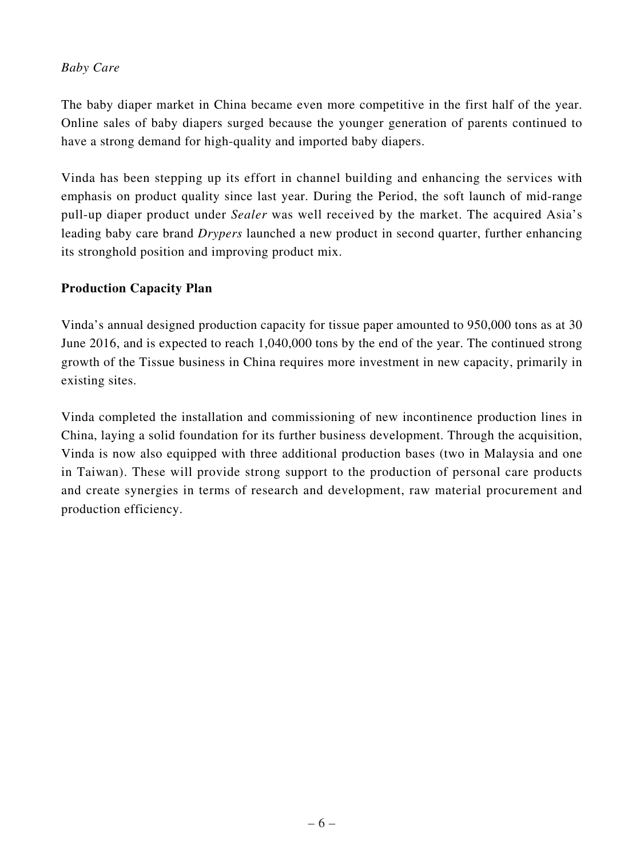# *Baby Care*

The baby diaper market in China became even more competitive in the first half of the year. Online sales of baby diapers surged because the younger generation of parents continued to have a strong demand for high-quality and imported baby diapers.

Vinda has been stepping up its effort in channel building and enhancing the services with emphasis on product quality since last year. During the Period, the soft launch of mid-range pull-up diaper product under *Sealer* was well received by the market. The acquired Asia's leading baby care brand *Drypers* launched a new product in second quarter, further enhancing its stronghold position and improving product mix.

# **Production Capacity Plan**

Vinda's annual designed production capacity for tissue paper amounted to 950,000 tons as at 30 June 2016, and is expected to reach 1,040,000 tons by the end of the year. The continued strong growth of the Tissue business in China requires more investment in new capacity, primarily in existing sites.

Vinda completed the installation and commissioning of new incontinence production lines in China, laying a solid foundation for its further business development. Through the acquisition, Vinda is now also equipped with three additional production bases (two in Malaysia and one in Taiwan). These will provide strong support to the production of personal care products and create synergies in terms of research and development, raw material procurement and production efficiency.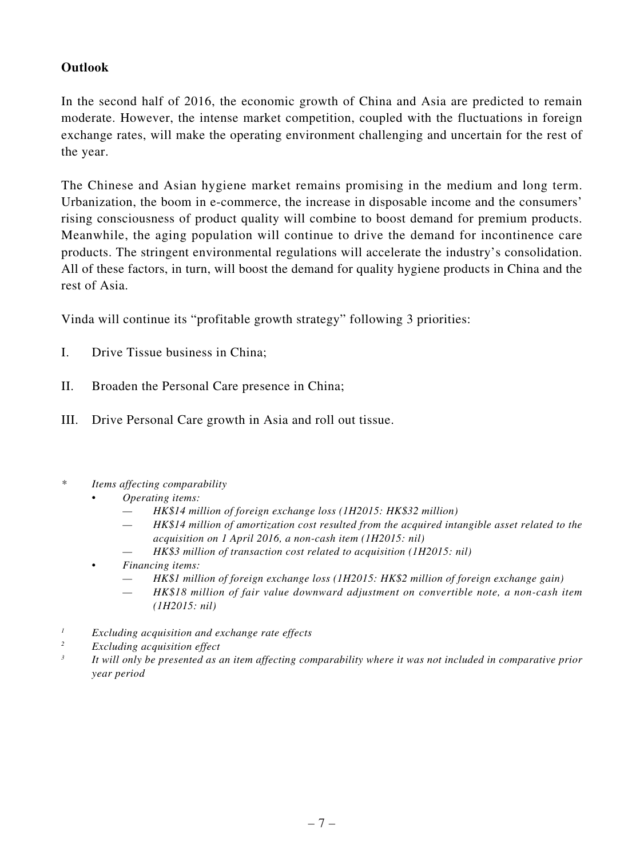# **Outlook**

In the second half of 2016, the economic growth of China and Asia are predicted to remain moderate. However, the intense market competition, coupled with the fluctuations in foreign exchange rates, will make the operating environment challenging and uncertain for the rest of the year.

The Chinese and Asian hygiene market remains promising in the medium and long term. Urbanization, the boom in e-commerce, the increase in disposable income and the consumers' rising consciousness of product quality will combine to boost demand for premium products. Meanwhile, the aging population will continue to drive the demand for incontinence care products. The stringent environmental regulations will accelerate the industry's consolidation. All of these factors, in turn, will boost the demand for quality hygiene products in China and the rest of Asia.

Vinda will continue its "profitable growth strategy" following 3 priorities:

- I. Drive Tissue business in China;
- II. Broaden the Personal Care presence in China;
- III. Drive Personal Care growth in Asia and roll out tissue.
- *\* Items affecting comparability*
	- *Operating items:*
		- *HK\$14 million of foreign exchange loss (1H2015: HK\$32 million)*
		- *HK\$14 million of amortization cost resulted from the acquired intangible asset related to the acquisition on 1 April 2016, a non-cash item (1H2015: nil)*
		- *HK\$3 million of transaction cost related to acquisition (1H2015: nil)*
	- *Financing items:*
		- *HK\$1 million of foreign exchange loss (1H2015: HK\$2 million of foreign exchange gain)*
		- *HK\$18 million of fair value downward adjustment on convertible note, a non-cash item (1H2015: nil)*
- *1 Excluding acquisition and exchange rate effects*
- *2 Excluding acquisition effect*
- *3 It will only be presented as an item affecting comparability where it was not included in comparative prior year period*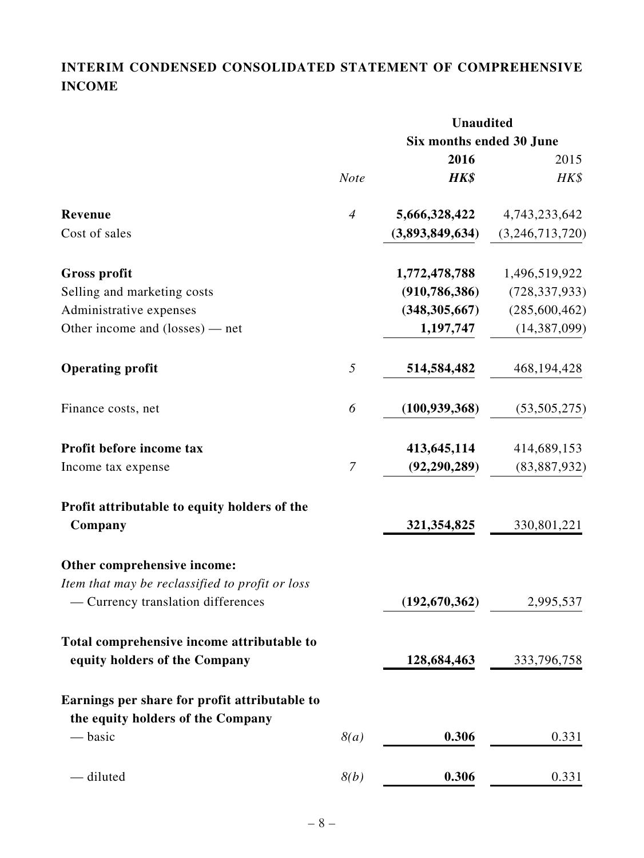# **INTERIM CONDENSED CONSOLIDATED STATEMENT OF COMPREHENSIVE INCOME**

|                                                 |                | <b>Unaudited</b>         |                 |  |  |
|-------------------------------------------------|----------------|--------------------------|-----------------|--|--|
|                                                 |                | Six months ended 30 June |                 |  |  |
|                                                 |                | 2016                     | 2015            |  |  |
|                                                 | <b>Note</b>    | HK\$                     | HK\$            |  |  |
| Revenue                                         | $\overline{4}$ | 5,666,328,422            | 4,743,233,642   |  |  |
| Cost of sales                                   |                | (3,893,849,634)          | (3,246,713,720) |  |  |
| <b>Gross profit</b>                             |                | 1,772,478,788            | 1,496,519,922   |  |  |
| Selling and marketing costs                     |                | (910, 786, 386)          | (728, 337, 933) |  |  |
| Administrative expenses                         |                | (348, 305, 667)          | (285,600,462)   |  |  |
| Other income and $(\text{losses})$ — net        |                | 1,197,747                | (14, 387, 099)  |  |  |
| <b>Operating profit</b>                         | 5              | 514,584,482              | 468, 194, 428   |  |  |
| Finance costs, net                              | 6              | (100, 939, 368)          | (53, 505, 275)  |  |  |
| Profit before income tax                        |                | 413,645,114              | 414,689,153     |  |  |
| Income tax expense                              | $\mathcal I$   | (92, 290, 289)           | (83, 887, 932)  |  |  |
| Profit attributable to equity holders of the    |                |                          |                 |  |  |
| Company                                         |                | 321, 354, 825            | 330,801,221     |  |  |
| Other comprehensive income:                     |                |                          |                 |  |  |
| Item that may be reclassified to profit or loss |                |                          |                 |  |  |
| - Currency translation differences              |                | (192, 670, 362)          | 2,995,537       |  |  |
| Total comprehensive income attributable to      |                |                          |                 |  |  |
| equity holders of the Company                   |                | 128,684,463              | 333,796,758     |  |  |
| Earnings per share for profit attributable to   |                |                          |                 |  |  |
| the equity holders of the Company               |                |                          |                 |  |  |
| — basic                                         | 8(a)           | 0.306                    | 0.331           |  |  |
| - diluted                                       | 8(b)           | 0.306                    | 0.331           |  |  |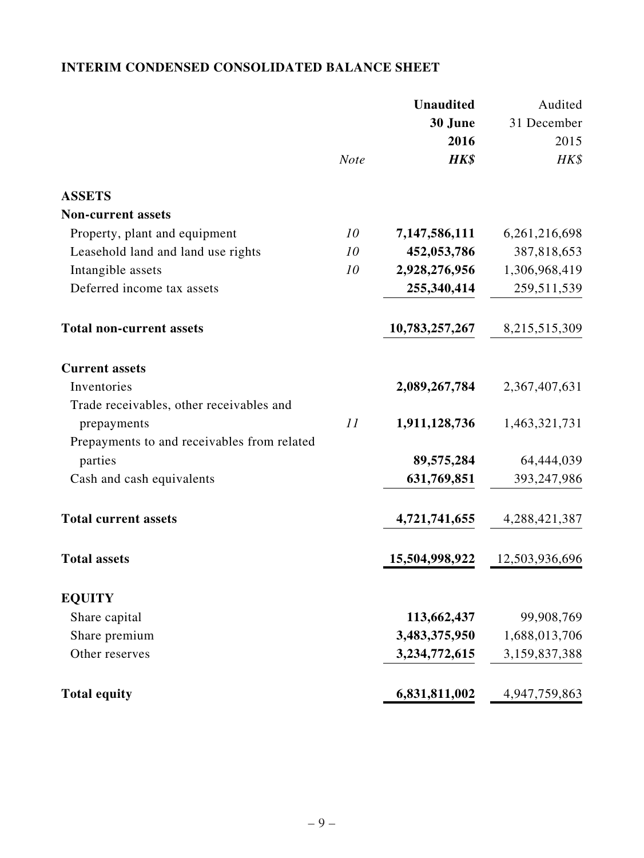# **INTERIM CONDENSED CONSOLIDATED BALANCE SHEET**

|                                             |             | <b>Unaudited</b> | Audited        |
|---------------------------------------------|-------------|------------------|----------------|
|                                             |             | 30 June          | 31 December    |
|                                             |             | 2016             | 2015           |
|                                             | <b>Note</b> | HK\$             | HK\$           |
| <b>ASSETS</b>                               |             |                  |                |
| <b>Non-current assets</b>                   |             |                  |                |
| Property, plant and equipment               | 10          | 7,147,586,111    | 6,261,216,698  |
| Leasehold land and land use rights          | 10          | 452,053,786      | 387,818,653    |
| Intangible assets                           | 10          | 2,928,276,956    | 1,306,968,419  |
| Deferred income tax assets                  |             | 255,340,414      | 259,511,539    |
| <b>Total non-current assets</b>             |             | 10,783,257,267   | 8,215,515,309  |
| <b>Current assets</b>                       |             |                  |                |
| Inventories                                 |             | 2,089,267,784    | 2,367,407,631  |
| Trade receivables, other receivables and    |             |                  |                |
| prepayments                                 | 11          | 1,911,128,736    | 1,463,321,731  |
| Prepayments to and receivables from related |             |                  |                |
| parties                                     |             | 89,575,284       | 64,444,039     |
| Cash and cash equivalents                   |             | 631,769,851      | 393,247,986    |
| <b>Total current assets</b>                 |             | 4,721,741,655    | 4,288,421,387  |
| <b>Total assets</b>                         |             | 15,504,998,922   | 12,503,936,696 |
| <b>EQUITY</b>                               |             |                  |                |
| Share capital                               |             | 113,662,437      | 99,908,769     |
| Share premium                               |             | 3,483,375,950    | 1,688,013,706  |
| Other reserves                              |             | 3,234,772,615    | 3,159,837,388  |
| <b>Total equity</b>                         |             | 6,831,811,002    | 4,947,759,863  |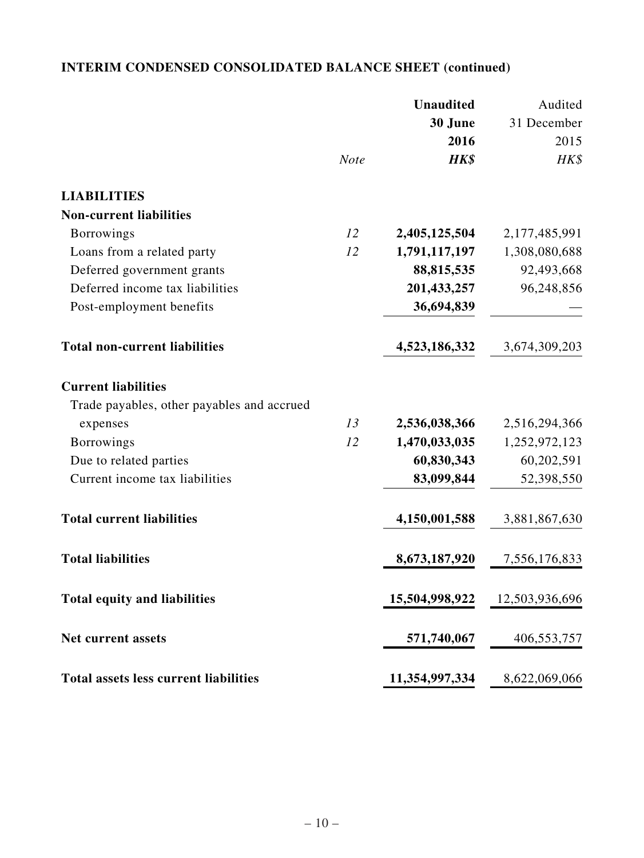# **INTERIM CONDENSED CONSOLIDATED BALANCE SHEET (continued)**

|                                              |             | <b>Unaudited</b> | Audited        |
|----------------------------------------------|-------------|------------------|----------------|
|                                              |             | 30 June          | 31 December    |
|                                              |             | 2016             | 2015           |
|                                              | <b>Note</b> | HK\$             | HK\$           |
| <b>LIABILITIES</b>                           |             |                  |                |
| <b>Non-current liabilities</b>               |             |                  |                |
| <b>Borrowings</b>                            | 12          | 2,405,125,504    | 2,177,485,991  |
| Loans from a related party                   | 12          | 1,791,117,197    | 1,308,080,688  |
| Deferred government grants                   |             | 88,815,535       | 92,493,668     |
| Deferred income tax liabilities              |             | 201,433,257      | 96,248,856     |
| Post-employment benefits                     |             | 36,694,839       |                |
| <b>Total non-current liabilities</b>         |             | 4,523,186,332    | 3,674,309,203  |
| <b>Current liabilities</b>                   |             |                  |                |
| Trade payables, other payables and accrued   |             |                  |                |
| expenses                                     | 13          | 2,536,038,366    | 2,516,294,366  |
| <b>Borrowings</b>                            | 12          | 1,470,033,035    | 1,252,972,123  |
| Due to related parties                       |             | 60,830,343       | 60,202,591     |
| Current income tax liabilities               |             | 83,099,844       | 52,398,550     |
| <b>Total current liabilities</b>             |             | 4,150,001,588    | 3,881,867,630  |
| <b>Total liabilities</b>                     |             | 8,673,187,920    | 7,556,176,833  |
| <b>Total equity and liabilities</b>          |             | 15,504,998,922   | 12,503,936,696 |
| Net current assets                           |             | 571,740,067      | 406,553,757    |
| <b>Total assets less current liabilities</b> |             | 11,354,997,334   | 8,622,069,066  |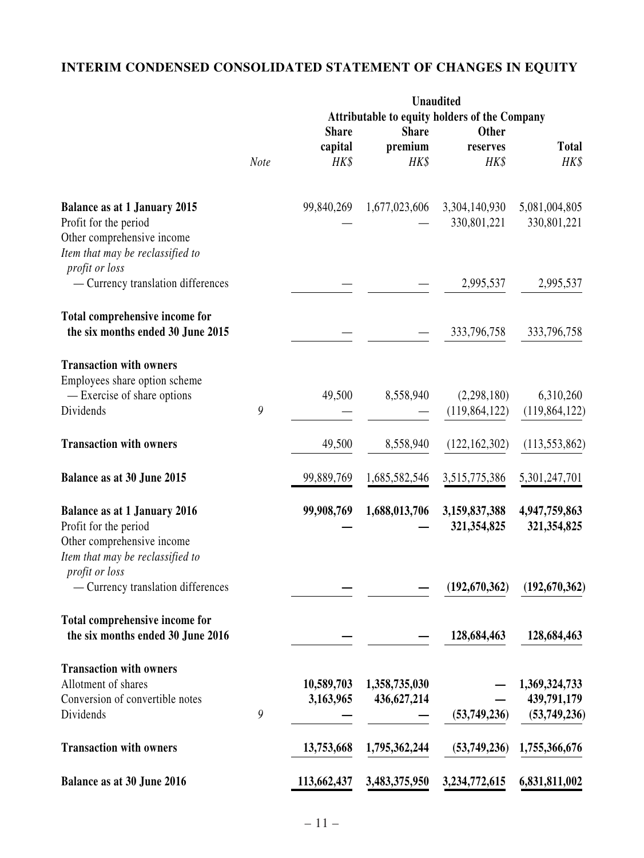# **INTERIM CONDENSED CONSOLIDATED STATEMENT OF CHANGES IN EQUITY**

|                                                                                                                                                  |      | <b>Unaudited</b> |                 |                                                               |                              |
|--------------------------------------------------------------------------------------------------------------------------------------------------|------|------------------|-----------------|---------------------------------------------------------------|------------------------------|
|                                                                                                                                                  |      | <b>Share</b>     | <b>Share</b>    | Attributable to equity holders of the Company<br><b>Other</b> |                              |
|                                                                                                                                                  | Note | capital<br>HK\$  | premium<br>HK\$ | reserves<br>HK\$                                              | <b>Total</b><br>HK\$         |
| <b>Balance as at 1 January 2015</b><br>Profit for the period<br>Other comprehensive income<br>Item that may be reclassified to<br>profit or loss |      | 99,840,269       | 1,677,023,606   | 3,304,140,930<br>330,801,221                                  | 5,081,004,805<br>330,801,221 |
| - Currency translation differences                                                                                                               |      |                  |                 | 2,995,537                                                     | 2,995,537                    |
| Total comprehensive income for<br>the six months ended 30 June 2015                                                                              |      |                  |                 | 333,796,758                                                   | 333,796,758                  |
| <b>Transaction with owners</b><br>Employees share option scheme<br>- Exercise of share options<br>Dividends                                      | 9    | 49,500           | 8,558,940       | (2, 298, 180)<br>(119, 864, 122)                              | 6,310,260<br>(119, 864, 122) |
| <b>Transaction with owners</b>                                                                                                                   |      | 49,500           | 8,558,940       | (122, 162, 302)                                               | (113, 553, 862)              |
| Balance as at 30 June 2015                                                                                                                       |      | 99,889,769       | 1,685,582,546   | 3,515,775,386                                                 | 5,301,247,701                |
| <b>Balance as at 1 January 2016</b><br>Profit for the period<br>Other comprehensive income<br>Item that may be reclassified to                   |      | 99,908,769       | 1,688,013,706   | 3,159,837,388<br>321,354,825                                  | 4,947,759,863<br>321,354,825 |
| profit or loss<br>- Currency translation differences                                                                                             |      |                  |                 | (192, 670, 362)                                               | (192, 670, 362)              |
| Total comprehensive income for<br>the six months ended 30 June 2016                                                                              |      |                  |                 | 128,684,463                                                   | 128,684,463                  |
| <b>Transaction with owners</b><br>Allotment of shares                                                                                            |      | 10,589,703       | 1,358,735,030   |                                                               | 1,369,324,733                |
| Conversion of convertible notes<br>Dividends                                                                                                     | 9    | 3,163,965        | 436,627,214     | (53,749,236)                                                  | 439,791,179<br>(53,749,236)  |
| <b>Transaction with owners</b>                                                                                                                   |      | 13,753,668       | 1,795,362,244   | (53,749,236)                                                  | 1,755,366,676                |
| Balance as at 30 June 2016                                                                                                                       |      | 113,662,437      | 3,483,375,950   | 3,234,772,615                                                 | 6,831,811,002                |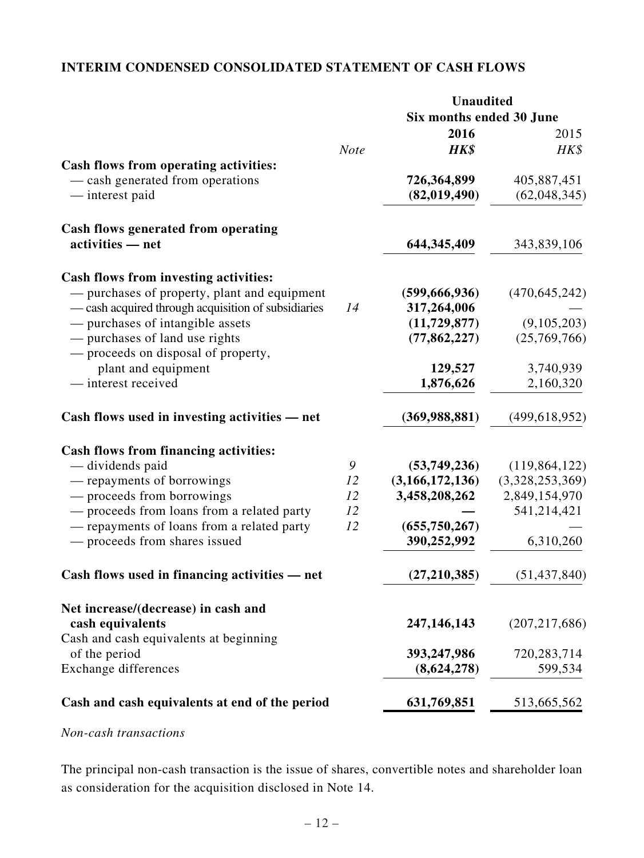# **INTERIM CONDENSED CONSOLIDATED STATEMENT OF CASH FLOWS**

| <b>Note</b> | Six months ended 30 June<br>2016<br>HK\$ | 2015                                                               |
|-------------|------------------------------------------|--------------------------------------------------------------------|
|             |                                          |                                                                    |
|             |                                          |                                                                    |
|             |                                          | HK\$                                                               |
|             |                                          |                                                                    |
|             | 726,364,899                              | 405,887,451                                                        |
|             | (82,019,490)                             | (62,048,345)                                                       |
|             |                                          |                                                                    |
|             | 644, 345, 409                            | 343,839,106                                                        |
|             |                                          |                                                                    |
|             |                                          | (470, 645, 242)                                                    |
|             |                                          |                                                                    |
|             |                                          | (9,105,203)                                                        |
|             |                                          | (25,769,766)                                                       |
|             |                                          |                                                                    |
|             | 129,527                                  | 3,740,939                                                          |
|             | 1,876,626                                | 2,160,320                                                          |
|             | (369, 988, 881)                          | (499, 618, 952)                                                    |
|             |                                          |                                                                    |
| 9           | (53,749,236)                             | (119, 864, 122)                                                    |
| 12          | (3,166,172,136)                          | (3,328,253,369)                                                    |
| 12          | 3,458,208,262                            | 2,849,154,970                                                      |
| 12          |                                          | 541,214,421                                                        |
| 12          | (655, 750, 267)                          |                                                                    |
|             | 390,252,992                              | 6,310,260                                                          |
|             | (27, 210, 385)                           | (51, 437, 840)                                                     |
|             |                                          |                                                                    |
|             | 247,146,143                              | (207, 217, 686)                                                    |
|             |                                          |                                                                    |
|             | 393,247,986                              | 720,283,714                                                        |
|             | (8,624,278)                              | 599,534                                                            |
|             | 631,769,851                              | 513,665,562                                                        |
|             | 14                                       | (599, 666, 936)<br>317,264,006<br>(11, 729, 877)<br>(77, 862, 227) |

# *Non-cash transactions*

The principal non-cash transaction is the issue of shares, convertible notes and shareholder loan as consideration for the acquisition disclosed in Note 14.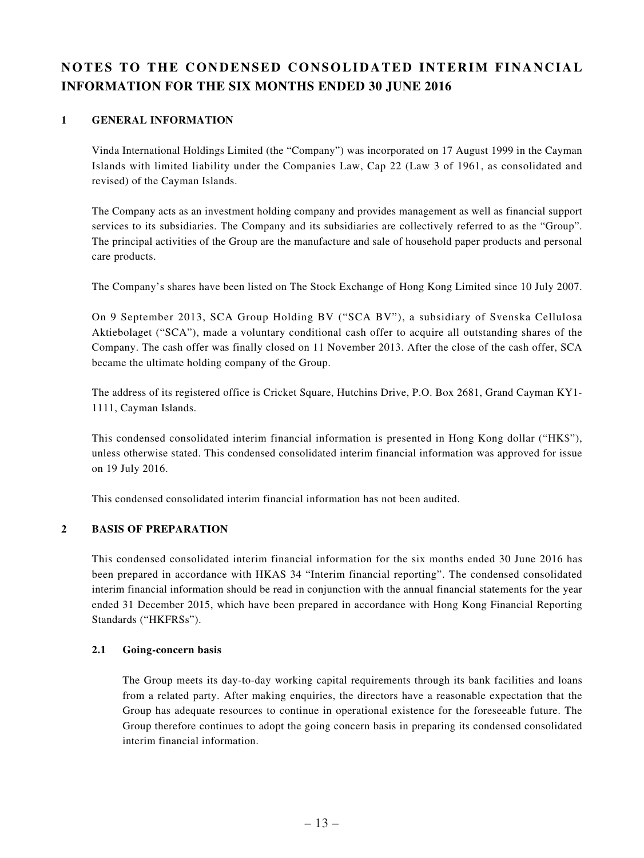# **NOTES TO THE CONDENSED CONSOLIDATED INTERIM FINANCIAL INFORMATION FOR THE SIX MONTHS ENDED 30 JUNE 2016**

## **1 GENERAL INFORMATION**

Vinda International Holdings Limited (the "Company") was incorporated on 17 August 1999 in the Cayman Islands with limited liability under the Companies Law, Cap 22 (Law 3 of 1961, as consolidated and revised) of the Cayman Islands.

The Company acts as an investment holding company and provides management as well as financial support services to its subsidiaries. The Company and its subsidiaries are collectively referred to as the "Group". The principal activities of the Group are the manufacture and sale of household paper products and personal care products.

The Company's shares have been listed on The Stock Exchange of Hong Kong Limited since 10 July 2007.

On 9 September 2013, SCA Group Holding BV ("SCA BV"), a subsidiary of Svenska Cellulosa Aktiebolaget ("SCA"), made a voluntary conditional cash offer to acquire all outstanding shares of the Company. The cash offer was finally closed on 11 November 2013. After the close of the cash offer, SCA became the ultimate holding company of the Group.

The address of its registered office is Cricket Square, Hutchins Drive, P.O. Box 2681, Grand Cayman KY1- 1111, Cayman Islands.

This condensed consolidated interim financial information is presented in Hong Kong dollar ("HK\$"), unless otherwise stated. This condensed consolidated interim financial information was approved for issue on 19 July 2016.

This condensed consolidated interim financial information has not been audited.

## **2 BASIS OF PREPARATION**

This condensed consolidated interim financial information for the six months ended 30 June 2016 has been prepared in accordance with HKAS 34 "Interim financial reporting". The condensed consolidated interim financial information should be read in conjunction with the annual financial statements for the year ended 31 December 2015, which have been prepared in accordance with Hong Kong Financial Reporting Standards ("HKFRSs").

#### **2.1 Going-concern basis**

The Group meets its day-to-day working capital requirements through its bank facilities and loans from a related party. After making enquiries, the directors have a reasonable expectation that the Group has adequate resources to continue in operational existence for the foreseeable future. The Group therefore continues to adopt the going concern basis in preparing its condensed consolidated interim financial information.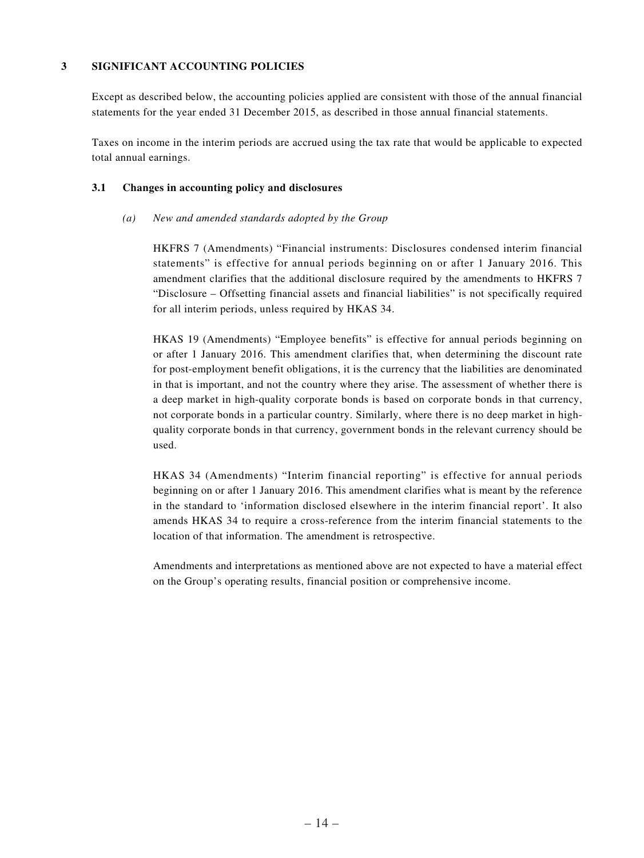### **3 SIGNIFICANT ACCOUNTING POLICIES**

Except as described below, the accounting policies applied are consistent with those of the annual financial statements for the year ended 31 December 2015, as described in those annual financial statements.

Taxes on income in the interim periods are accrued using the tax rate that would be applicable to expected total annual earnings.

### **3.1 Changes in accounting policy and disclosures**

### *(a) New and amended standards adopted by the Group*

HKFRS 7 (Amendments) "Financial instruments: Disclosures condensed interim financial statements" is effective for annual periods beginning on or after 1 January 2016. This amendment clarifies that the additional disclosure required by the amendments to HKFRS 7 "Disclosure – Offsetting financial assets and financial liabilities" is not specifically required for all interim periods, unless required by HKAS 34.

HKAS 19 (Amendments) "Employee benefits" is effective for annual periods beginning on or after 1 January 2016. This amendment clarifies that, when determining the discount rate for post-employment benefit obligations, it is the currency that the liabilities are denominated in that is important, and not the country where they arise. The assessment of whether there is a deep market in high-quality corporate bonds is based on corporate bonds in that currency, not corporate bonds in a particular country. Similarly, where there is no deep market in highquality corporate bonds in that currency, government bonds in the relevant currency should be used.

HKAS 34 (Amendments) "Interim financial reporting" is effective for annual periods beginning on or after 1 January 2016. This amendment clarifies what is meant by the reference in the standard to 'information disclosed elsewhere in the interim financial report'. It also amends HKAS 34 to require a cross-reference from the interim financial statements to the location of that information. The amendment is retrospective.

Amendments and interpretations as mentioned above are not expected to have a material effect on the Group's operating results, financial position or comprehensive income.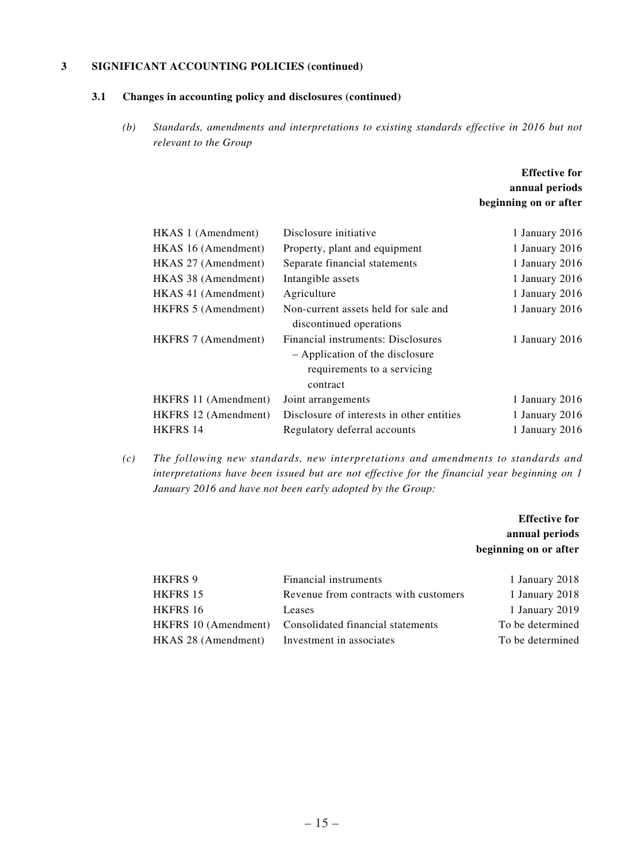### **3 SIGNIFICANT ACCOUNTING POLICIES (continued)**

### **3.1 Changes in accounting policy and disclosures (continued)**

*(b) Standards, amendments and interpretations to existing standards effective in 2016 but not relevant to the Group*

## **Effective for annual periods beginning on or after**

| HKAS 1 (Amendment)   | Disclosure initiative                                                                                            | 1 January 2016 |
|----------------------|------------------------------------------------------------------------------------------------------------------|----------------|
| HKAS 16 (Amendment)  | Property, plant and equipment                                                                                    | 1 January 2016 |
| HKAS 27 (Amendment)  | Separate financial statements                                                                                    | 1 January 2016 |
| HKAS 38 (Amendment)  | Intangible assets                                                                                                | 1 January 2016 |
| HKAS 41 (Amendment)  | Agriculture                                                                                                      | 1 January 2016 |
| HKFRS 5 (Amendment)  | Non-current assets held for sale and<br>discontinued operations                                                  | 1 January 2016 |
| HKFRS 7 (Amendment)  | Financial instruments: Disclosures<br>- Application of the disclosure<br>requirements to a servicing<br>contract | 1 January 2016 |
| HKFRS 11 (Amendment) | Joint arrangements                                                                                               | 1 January 2016 |
| HKFRS 12 (Amendment) | Disclosure of interests in other entities                                                                        | 1 January 2016 |
| <b>HKFRS 14</b>      | Regulatory deferral accounts                                                                                     | 1 January 2016 |
|                      |                                                                                                                  |                |

*(c) The following new standards, new interpretations and amendments to standards and interpretations have been issued but are not effective for the financial year beginning on 1 January 2016 and have not been early adopted by the Group:*

## **Effective for annual periods beginning on or after**

| <b>HKFRS 9</b>      | Financial instruments                                  | 1 January 2018   |
|---------------------|--------------------------------------------------------|------------------|
| HKFRS 15            | Revenue from contracts with customers                  | 1 January 2018   |
| HKFRS 16            | Leases                                                 | 1 January 2019   |
|                     | HKFRS 10 (Amendment) Consolidated financial statements | To be determined |
| HKAS 28 (Amendment) | Investment in associates                               | To be determined |
|                     |                                                        |                  |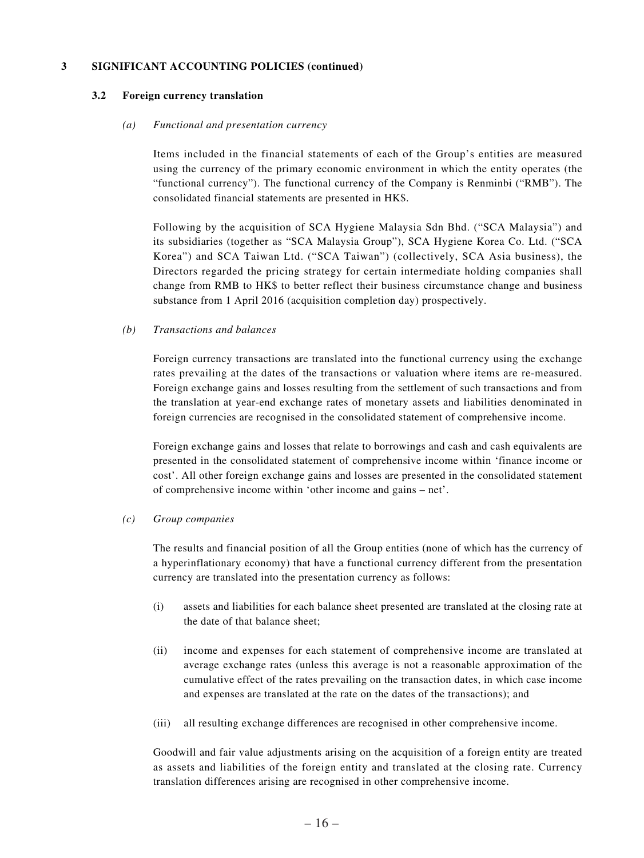#### **3 SIGNIFICANT ACCOUNTING POLICIES (continued)**

#### **3.2 Foreign currency translation**

#### *(a) Functional and presentation currency*

Items included in the financial statements of each of the Group's entities are measured using the currency of the primary economic environment in which the entity operates (the "functional currency"). The functional currency of the Company is Renminbi ("RMB"). The consolidated financial statements are presented in HK\$.

Following by the acquisition of SCA Hygiene Malaysia Sdn Bhd. ("SCA Malaysia") and its subsidiaries (together as "SCA Malaysia Group"), SCA Hygiene Korea Co. Ltd. ("SCA Korea") and SCA Taiwan Ltd. ("SCA Taiwan") (collectively, SCA Asia business), the Directors regarded the pricing strategy for certain intermediate holding companies shall change from RMB to HK\$ to better reflect their business circumstance change and business substance from 1 April 2016 (acquisition completion day) prospectively.

#### *(b) Transactions and balances*

Foreign currency transactions are translated into the functional currency using the exchange rates prevailing at the dates of the transactions or valuation where items are re-measured. Foreign exchange gains and losses resulting from the settlement of such transactions and from the translation at year-end exchange rates of monetary assets and liabilities denominated in foreign currencies are recognised in the consolidated statement of comprehensive income.

Foreign exchange gains and losses that relate to borrowings and cash and cash equivalents are presented in the consolidated statement of comprehensive income within 'finance income or cost'. All other foreign exchange gains and losses are presented in the consolidated statement of comprehensive income within 'other income and gains – net'.

#### *(c) Group companies*

The results and financial position of all the Group entities (none of which has the currency of a hyperinflationary economy) that have a functional currency different from the presentation currency are translated into the presentation currency as follows:

- (i) assets and liabilities for each balance sheet presented are translated at the closing rate at the date of that balance sheet;
- (ii) income and expenses for each statement of comprehensive income are translated at average exchange rates (unless this average is not a reasonable approximation of the cumulative effect of the rates prevailing on the transaction dates, in which case income and expenses are translated at the rate on the dates of the transactions); and
- (iii) all resulting exchange differences are recognised in other comprehensive income.

Goodwill and fair value adjustments arising on the acquisition of a foreign entity are treated as assets and liabilities of the foreign entity and translated at the closing rate. Currency translation differences arising are recognised in other comprehensive income.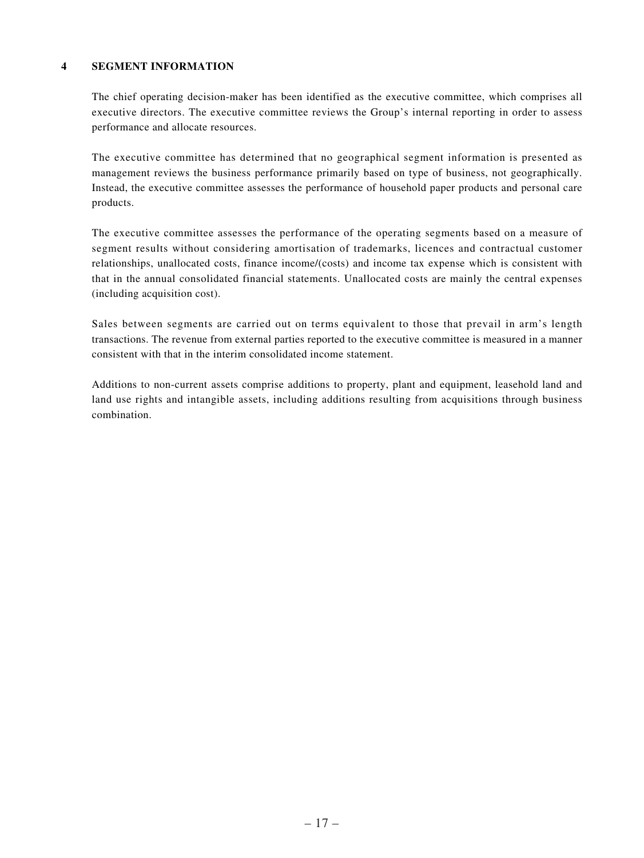### **4 SEGMENT INFORMATION**

The chief operating decision-maker has been identified as the executive committee, which comprises all executive directors. The executive committee reviews the Group's internal reporting in order to assess performance and allocate resources.

The executive committee has determined that no geographical segment information is presented as management reviews the business performance primarily based on type of business, not geographically. Instead, the executive committee assesses the performance of household paper products and personal care products.

The executive committee assesses the performance of the operating segments based on a measure of segment results without considering amortisation of trademarks, licences and contractual customer relationships, unallocated costs, finance income/(costs) and income tax expense which is consistent with that in the annual consolidated financial statements. Unallocated costs are mainly the central expenses (including acquisition cost).

Sales between segments are carried out on terms equivalent to those that prevail in arm's length transactions. The revenue from external parties reported to the executive committee is measured in a manner consistent with that in the interim consolidated income statement.

Additions to non-current assets comprise additions to property, plant and equipment, leasehold land and land use rights and intangible assets, including additions resulting from acquisitions through business combination.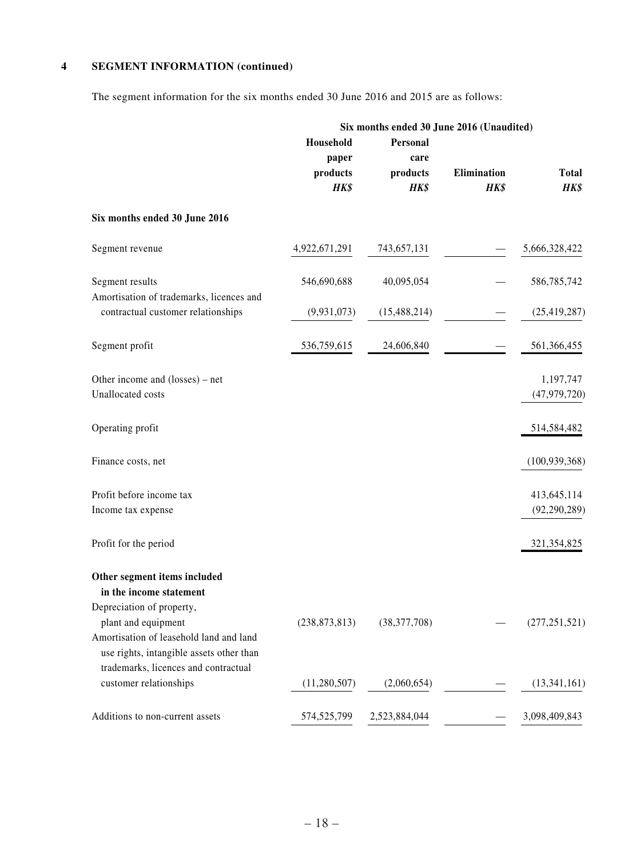## **4 SEGMENT INFORMATION (continued)**

The segment information for the six months ended 30 June 2016 and 2015 are as follows:

|                                                                                                                                         | Six months ended 30 June 2016 (Unaudited) |                                      |                     |                               |  |
|-----------------------------------------------------------------------------------------------------------------------------------------|-------------------------------------------|--------------------------------------|---------------------|-------------------------------|--|
|                                                                                                                                         | Household<br>paper<br>products<br>HK\$    | Personal<br>care<br>products<br>HK\$ | Elimination<br>HK\$ | <b>Total</b><br>HK\$          |  |
| Six months ended 30 June 2016                                                                                                           |                                           |                                      |                     |                               |  |
| Segment revenue                                                                                                                         | 4,922,671,291                             | 743,657,131                          |                     | 5,666,328,422                 |  |
| Segment results                                                                                                                         | 546,690,688                               | 40,095,054                           |                     | 586,785,742                   |  |
| Amortisation of trademarks, licences and<br>contractual customer relationships                                                          | (9,931,073)                               | (15, 488, 214)                       |                     | (25, 419, 287)                |  |
| Segment profit                                                                                                                          | 536,759,615                               | 24,606,840                           |                     | 561,366,455                   |  |
| Other income and (losses) – net<br>Unallocated costs                                                                                    |                                           |                                      |                     | 1,197,747<br>(47, 979, 720)   |  |
| Operating profit                                                                                                                        |                                           |                                      |                     | 514,584,482                   |  |
| Finance costs, net                                                                                                                      |                                           |                                      |                     | (100, 939, 368)               |  |
| Profit before income tax<br>Income tax expense                                                                                          |                                           |                                      |                     | 413,645,114<br>(92, 290, 289) |  |
| Profit for the period                                                                                                                   |                                           |                                      |                     | 321,354,825                   |  |
| Other segment items included<br>in the income statement                                                                                 |                                           |                                      |                     |                               |  |
| Depreciation of property,<br>plant and equipment<br>Amortisation of leasehold land and land<br>use rights, intangible assets other than | (238, 873, 813)                           | (38, 377, 708)                       |                     | (277, 251, 521)               |  |
| trademarks, licences and contractual<br>customer relationships                                                                          | (11,280,507)                              | (2,060,654)                          |                     | (13,341,161)                  |  |
| Additions to non-current assets                                                                                                         | 574,525,799                               | 2,523,884,044                        |                     | 3,098,409,843                 |  |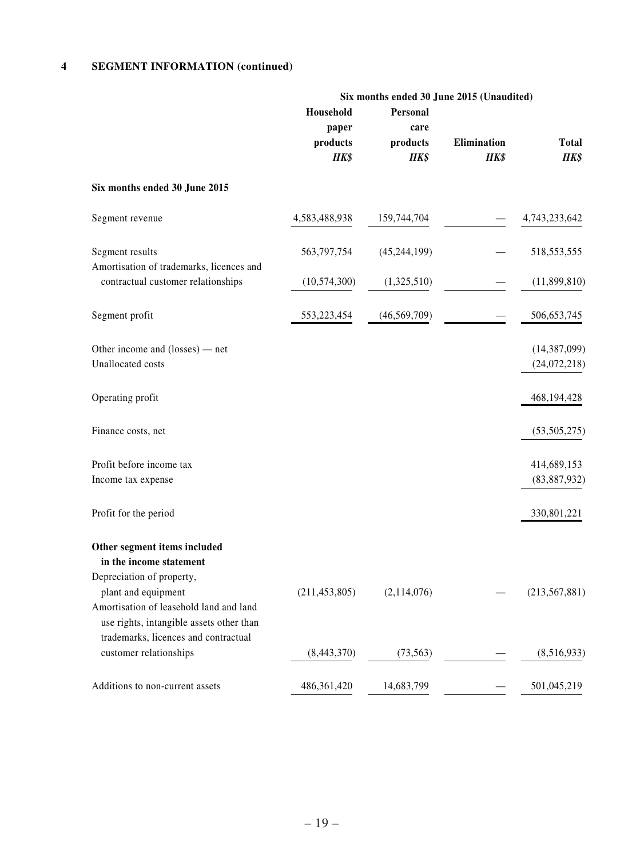## **4 SEGMENT INFORMATION (continued)**

|                                                                                                            | Six months ended 30 June 2015 (Unaudited) |                |             |                 |
|------------------------------------------------------------------------------------------------------------|-------------------------------------------|----------------|-------------|-----------------|
|                                                                                                            | Household                                 | Personal       |             |                 |
|                                                                                                            | paper                                     | care           |             |                 |
|                                                                                                            | products                                  | products       | Elimination | <b>Total</b>    |
|                                                                                                            | HK\$                                      | HK\$           | HK\$        | HK\$            |
| Six months ended 30 June 2015                                                                              |                                           |                |             |                 |
| Segment revenue                                                                                            | 4,583,488,938                             | 159,744,704    |             | 4,743,233,642   |
| Segment results                                                                                            | 563,797,754                               | (45, 244, 199) |             | 518,553,555     |
| Amortisation of trademarks, licences and<br>contractual customer relationships                             | (10, 574, 300)                            | (1,325,510)    |             | (11,899,810)    |
| Segment profit                                                                                             | 553,223,454                               | (46, 569, 709) |             | 506, 653, 745   |
| Other income and (losses) — net                                                                            |                                           |                |             | (14, 387, 099)  |
| Unallocated costs                                                                                          |                                           |                |             | (24,072,218)    |
| Operating profit                                                                                           |                                           |                |             | 468,194,428     |
| Finance costs, net                                                                                         |                                           |                |             | (53, 505, 275)  |
| Profit before income tax                                                                                   |                                           |                |             | 414,689,153     |
| Income tax expense                                                                                         |                                           |                |             | (83, 887, 932)  |
| Profit for the period                                                                                      |                                           |                |             | 330,801,221     |
| Other segment items included<br>in the income statement                                                    |                                           |                |             |                 |
| Depreciation of property,                                                                                  |                                           |                |             |                 |
| plant and equipment<br>Amortisation of leasehold land and land<br>use rights, intangible assets other than | (211, 453, 805)                           | (2,114,076)    |             | (213, 567, 881) |
| trademarks, licences and contractual<br>customer relationships                                             | (8,443,370)                               | (73, 563)      |             | (8,516,933)     |
| Additions to non-current assets                                                                            | 486, 361, 420                             | 14,683,799     |             | 501,045,219     |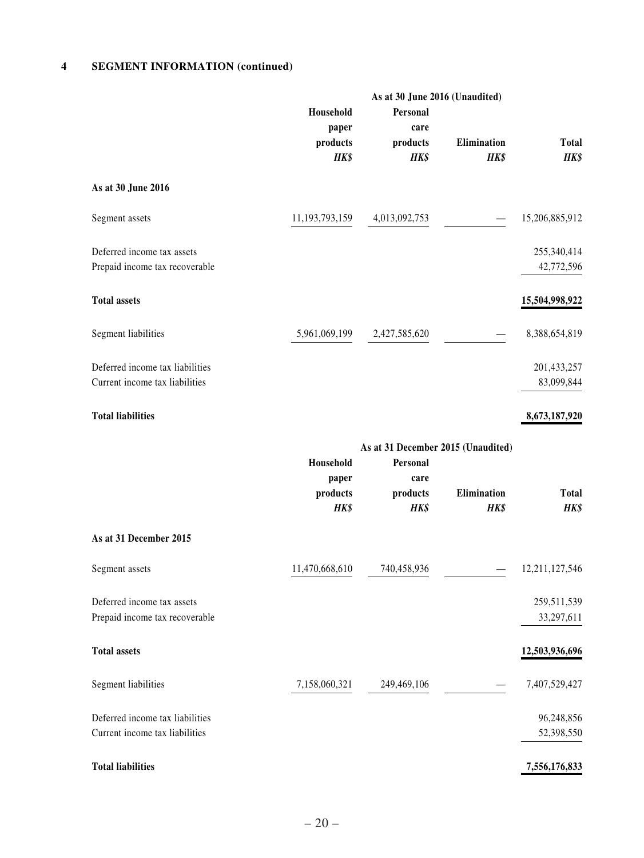## **4 SEGMENT INFORMATION (continued)**

|                                                                   |                                        | As at 30 June 2016 (Unaudited)                                             |                     |                           |
|-------------------------------------------------------------------|----------------------------------------|----------------------------------------------------------------------------|---------------------|---------------------------|
|                                                                   | Household<br>paper<br>products<br>HK\$ | Personal<br>care<br>products<br>HK\$                                       | Elimination<br>HK\$ | <b>Total</b><br>HK\$      |
| As at 30 June 2016                                                |                                        |                                                                            |                     |                           |
| Segment assets                                                    | 11,193,793,159                         | 4,013,092,753                                                              |                     | 15,206,885,912            |
| Deferred income tax assets<br>Prepaid income tax recoverable      |                                        |                                                                            |                     | 255,340,414<br>42,772,596 |
| <b>Total assets</b>                                               |                                        |                                                                            |                     | 15,504,998,922            |
| Segment liabilities                                               | 5,961,069,199                          | 2,427,585,620                                                              |                     | 8,388,654,819             |
| Deferred income tax liabilities<br>Current income tax liabilities |                                        |                                                                            |                     | 201,433,257<br>83,099,844 |
| <b>Total liabilities</b>                                          |                                        |                                                                            |                     | 8,673,187,920             |
|                                                                   | Household<br>paper<br>products<br>HK\$ | As at 31 December 2015 (Unaudited)<br>Personal<br>care<br>products<br>HK\$ | Elimination<br>HK\$ | <b>Total</b><br>HK\$      |
| As at 31 December 2015                                            |                                        |                                                                            |                     |                           |
| Segment assets                                                    | 11,470,668,610                         | 740,458,936                                                                |                     | 12,211,127,546            |
| Deferred income tax assets<br>Prepaid income tax recoverable      |                                        |                                                                            |                     | 259,511,539<br>33,297,611 |
| <b>Total assets</b>                                               |                                        |                                                                            |                     | 12,503,936,696            |
| Segment liabilities                                               | 7,158,060,321                          | 249,469,106                                                                |                     | 7,407,529,427             |
| Deferred income tax liabilities<br>Current income tax liabilities |                                        |                                                                            |                     | 96,248,856<br>52,398,550  |
| <b>Total liabilities</b>                                          |                                        |                                                                            |                     | 7,556,176,833             |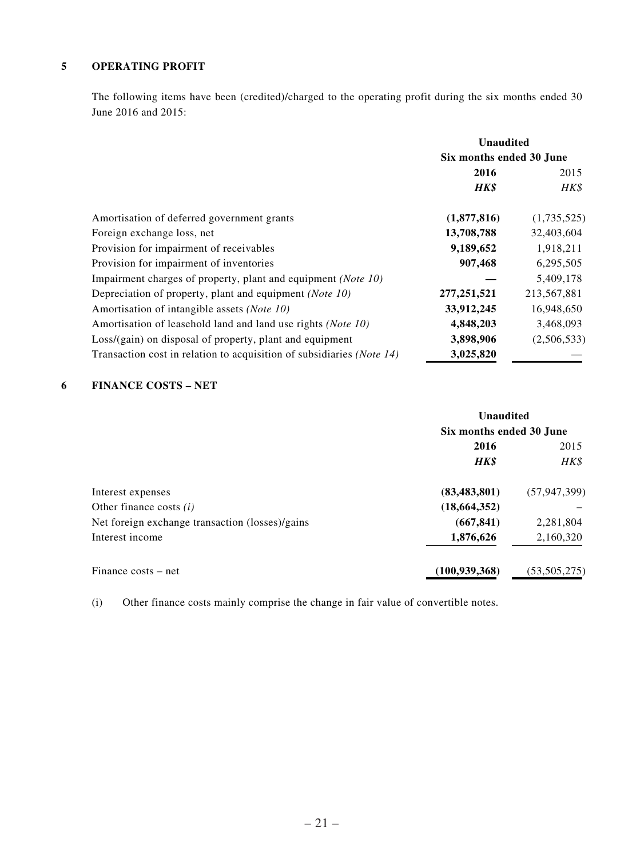### **5 OPERATING PROFIT**

The following items have been (credited)/charged to the operating profit during the six months ended 30 June 2016 and 2015:

|                                                                       | <b>Unaudited</b>         |             |  |
|-----------------------------------------------------------------------|--------------------------|-------------|--|
|                                                                       | Six months ended 30 June |             |  |
|                                                                       | 2016                     | 2015        |  |
|                                                                       | <b>HK\$</b>              | HK\$        |  |
| Amortisation of deferred government grants                            | (1,877,816)              | (1,735,525) |  |
| Foreign exchange loss, net                                            | 13,708,788               | 32,403,604  |  |
| Provision for impairment of receivables                               | 9,189,652                | 1,918,211   |  |
| Provision for impairment of inventories                               | 907,468                  | 6,295,505   |  |
| Impairment charges of property, plant and equipment (Note 10)         |                          | 5,409,178   |  |
| Depreciation of property, plant and equipment (Note 10)               | 277, 251, 521            | 213,567,881 |  |
| Amortisation of intangible assets (Note 10)                           | 33,912,245               | 16,948,650  |  |
| Amortisation of leasehold land and land use rights ( <i>Note 10</i> ) | 4,848,203                | 3,468,093   |  |
| $Loss/(gain)$ on disposal of property, plant and equipment            | 3,898,906                | (2,506,533) |  |
| Transaction cost in relation to acquisition of subsidiaries (Note 14) | 3,025,820                |             |  |

## **6 FINANCE COSTS – NET**

|                                                 | <b>Unaudited</b>         |                |  |
|-------------------------------------------------|--------------------------|----------------|--|
|                                                 | Six months ended 30 June |                |  |
|                                                 | 2016                     | 2015           |  |
|                                                 | <b>HK\$</b>              | HK\$           |  |
| Interest expenses                               | (83, 483, 801)           | (57, 947, 399) |  |
| Other finance costs $(i)$                       | (18, 664, 352)           |                |  |
| Net foreign exchange transaction (losses)/gains | (667, 841)               | 2,281,804      |  |
| Interest income                                 | 1,876,626                | 2,160,320      |  |
| Finance costs – net                             | (100, 939, 368)          | (53, 505, 275) |  |

(i) Other finance costs mainly comprise the change in fair value of convertible notes.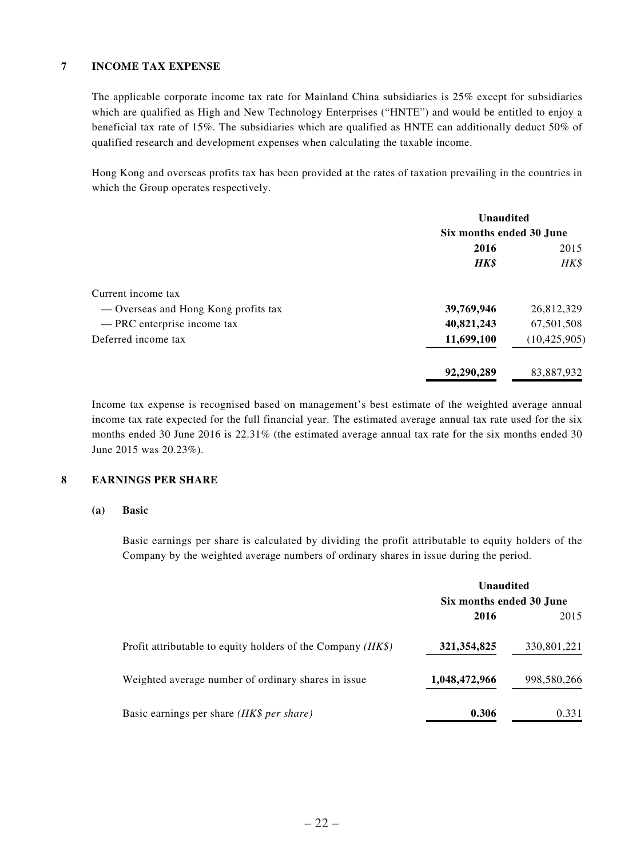## **7 INCOME TAX EXPENSE**

The applicable corporate income tax rate for Mainland China subsidiaries is 25% except for subsidiaries which are qualified as High and New Technology Enterprises ("HNTE") and would be entitled to enjoy a beneficial tax rate of 15%. The subsidiaries which are qualified as HNTE can additionally deduct 50% of qualified research and development expenses when calculating the taxable income.

Hong Kong and overseas profits tax has been provided at the rates of taxation prevailing in the countries in which the Group operates respectively.

|                                      | <b>Unaudited</b>         |                |
|--------------------------------------|--------------------------|----------------|
|                                      | Six months ended 30 June |                |
|                                      | 2016                     | 2015           |
|                                      | <b>HK\$</b>              | HK\$           |
| Current income tax                   |                          |                |
| — Overseas and Hong Kong profits tax | 39,769,946               | 26,812,329     |
| - PRC enterprise income tax          | 40,821,243               | 67,501,508     |
| Deferred income tax                  | 11,699,100               | (10, 425, 905) |
|                                      | 92,290,289               | 83,887,932     |

Income tax expense is recognised based on management's best estimate of the weighted average annual income tax rate expected for the full financial year. The estimated average annual tax rate used for the six months ended 30 June 2016 is 22.31% (the estimated average annual tax rate for the six months ended 30 June 2015 was 20.23%).

## **8 EARNINGS PER SHARE**

#### **(a) Basic**

Basic earnings per share is calculated by dividing the profit attributable to equity holders of the Company by the weighted average numbers of ordinary shares in issue during the period.

|                                                               | <b>Unaudited</b>         |             |
|---------------------------------------------------------------|--------------------------|-------------|
|                                                               | Six months ended 30 June |             |
|                                                               | 2016                     | 2015        |
| Profit attributable to equity holders of the Company $(HK\$ ) | 321, 354, 825            | 330,801,221 |
| Weighted average number of ordinary shares in issue           | 1,048,472,966            | 998,580,266 |
| Basic earnings per share <i>(HK\$ per share)</i>              | 0.306                    | 0.331       |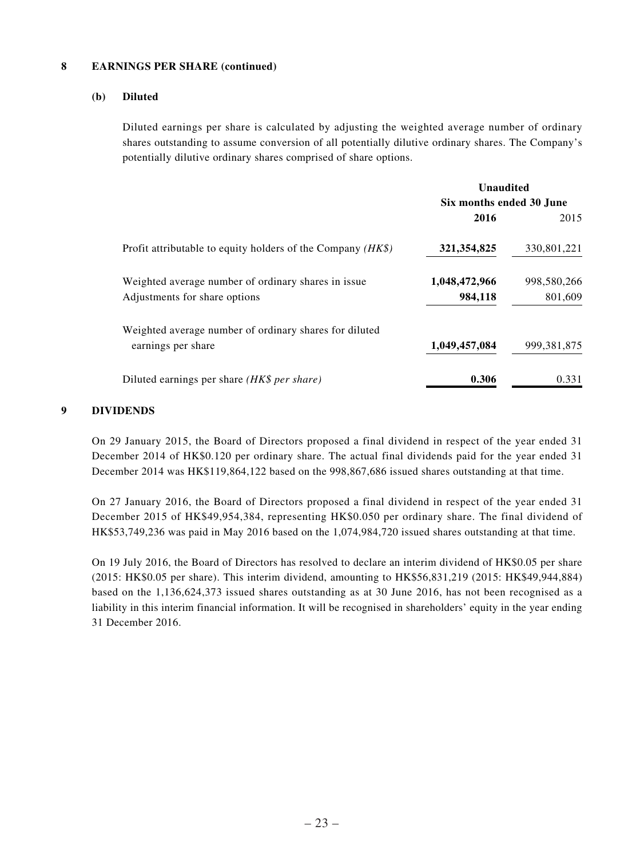#### **8 EARNINGS PER SHARE (continued)**

### **(b) Diluted**

Diluted earnings per share is calculated by adjusting the weighted average number of ordinary shares outstanding to assume conversion of all potentially dilutive ordinary shares. The Company's potentially dilutive ordinary shares comprised of share options.

|                                                               | Unaudited                |               |
|---------------------------------------------------------------|--------------------------|---------------|
|                                                               | Six months ended 30 June |               |
|                                                               | 2016                     | 2015          |
| Profit attributable to equity holders of the Company $(HK\$ ) | 321, 354, 825            | 330,801,221   |
| Weighted average number of ordinary shares in issue           | 1,048,472,966            | 998,580,266   |
| Adjustments for share options                                 | 984,118                  | 801,609       |
| Weighted average number of ordinary shares for diluted        |                          |               |
| earnings per share                                            | 1,049,457,084            | 999, 381, 875 |
| Diluted earnings per share <i>(HK\$ per share)</i>            | 0.306                    | 0.331         |

## **9 DIVIDENDS**

On 29 January 2015, the Board of Directors proposed a final dividend in respect of the year ended 31 December 2014 of HK\$0.120 per ordinary share. The actual final dividends paid for the year ended 31 December 2014 was HK\$119,864,122 based on the 998,867,686 issued shares outstanding at that time.

On 27 January 2016, the Board of Directors proposed a final dividend in respect of the year ended 31 December 2015 of HK\$49,954,384, representing HK\$0.050 per ordinary share. The final dividend of HK\$53,749,236 was paid in May 2016 based on the 1,074,984,720 issued shares outstanding at that time.

On 19 July 2016, the Board of Directors has resolved to declare an interim dividend of HK\$0.05 per share (2015: HK\$0.05 per share). This interim dividend, amounting to HK\$56,831,219 (2015: HK\$49,944,884) based on the 1,136,624,373 issued shares outstanding as at 30 June 2016, has not been recognised as a liability in this interim financial information. It will be recognised in shareholders' equity in the year ending 31 December 2016.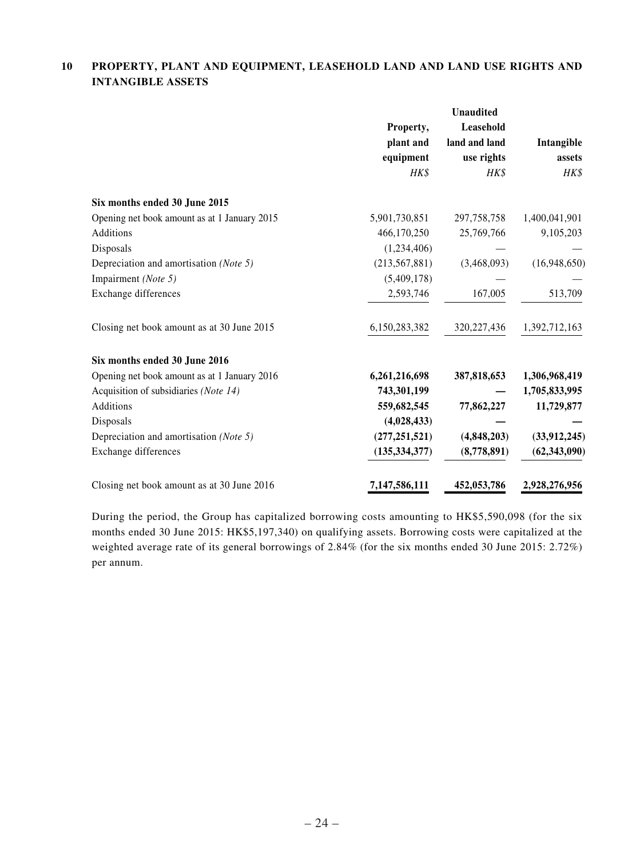## **10 PROPERTY, PLANT AND EQUIPMENT, LEASEHOLD LAND AND LAND USE RIGHTS AND INTANGIBLE ASSETS**

|                                              | Property,<br>plant and<br>equipment<br>HK\$ | <b>Unaudited</b><br>Leasehold<br>land and land<br>use rights<br>HK\$ | Intangible<br>assets<br>HK\$ |
|----------------------------------------------|---------------------------------------------|----------------------------------------------------------------------|------------------------------|
|                                              |                                             |                                                                      |                              |
| Six months ended 30 June 2015                |                                             |                                                                      |                              |
| Opening net book amount as at 1 January 2015 | 5,901,730,851                               | 297, 758, 758                                                        | 1,400,041,901                |
| Additions                                    | 466,170,250                                 | 25,769,766                                                           | 9,105,203                    |
| Disposals                                    | (1,234,406)                                 |                                                                      |                              |
| Depreciation and amortisation (Note 5)       | (213, 567, 881)                             | (3,468,093)                                                          | (16,948,650)                 |
| Impairment (Note 5)                          | (5,409,178)                                 |                                                                      |                              |
| Exchange differences                         | 2,593,746                                   | 167,005                                                              | 513,709                      |
| Closing net book amount as at 30 June 2015   | 6,150,283,382                               | 320, 227, 436                                                        | 1,392,712,163                |
| Six months ended 30 June 2016                |                                             |                                                                      |                              |
| Opening net book amount as at 1 January 2016 | 6,261,216,698                               | 387,818,653                                                          | 1,306,968,419                |
| Acquisition of subsidiaries (Note 14)        | 743,301,199                                 |                                                                      | 1,705,833,995                |
| Additions                                    | 559,682,545                                 | 77,862,227                                                           | 11,729,877                   |
| Disposals                                    | (4,028,433)                                 |                                                                      |                              |
| Depreciation and amortisation (Note 5)       | (277, 251, 521)                             | (4,848,203)                                                          | (33, 912, 245)               |
| Exchange differences                         | (135, 334, 377)                             | (8,778,891)                                                          | (62, 343, 090)               |
| Closing net book amount as at 30 June 2016   | 7,147,586,111                               | 452,053,786                                                          | 2,928,276,956                |

During the period, the Group has capitalized borrowing costs amounting to HK\$5,590,098 (for the six months ended 30 June 2015: HK\$5,197,340) on qualifying assets. Borrowing costs were capitalized at the weighted average rate of its general borrowings of 2.84% (for the six months ended 30 June 2015: 2.72%) per annum.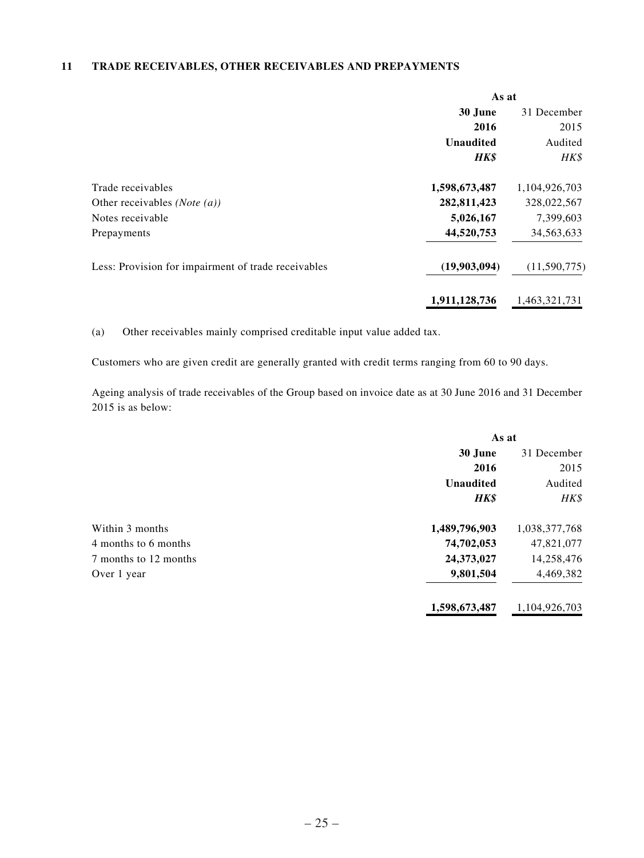## **11 TRADE RECEIVABLES, OTHER RECEIVABLES AND PREPAYMENTS**

|                                                     | As at            |               |
|-----------------------------------------------------|------------------|---------------|
|                                                     | 30 June          | 31 December   |
|                                                     | 2016             | 2015          |
|                                                     | <b>Unaudited</b> | Audited       |
|                                                     | HK\$             | HK\$          |
| Trade receivables                                   | 1,598,673,487    | 1,104,926,703 |
| Other receivables ( <i>Note</i> $(a)$ )             | 282,811,423      | 328,022,567   |
| Notes receivable                                    | 5,026,167        | 7,399,603     |
| Prepayments                                         | 44,520,753       | 34,563,633    |
| Less: Provision for impairment of trade receivables | (19,903,094)     | (11,590,775)  |
|                                                     | 1,911,128,736    | 1,463,321,731 |

(a) Other receivables mainly comprised creditable input value added tax.

Customers who are given credit are generally granted with credit terms ranging from 60 to 90 days.

Ageing analysis of trade receivables of the Group based on invoice date as at 30 June 2016 and 31 December 2015 is as below:

|                       | As at            |               |
|-----------------------|------------------|---------------|
|                       | 30 June          | 31 December   |
|                       | 2016             | 2015          |
|                       | <b>Unaudited</b> | Audited       |
|                       | <b>HK\$</b>      | HK\$          |
| Within 3 months       | 1,489,796,903    | 1,038,377,768 |
| 4 months to 6 months  | 74,702,053       | 47,821,077    |
| 7 months to 12 months | 24,373,027       | 14,258,476    |
| Over 1 year           | 9,801,504        | 4,469,382     |
|                       | 1,598,673,487    | 1,104,926,703 |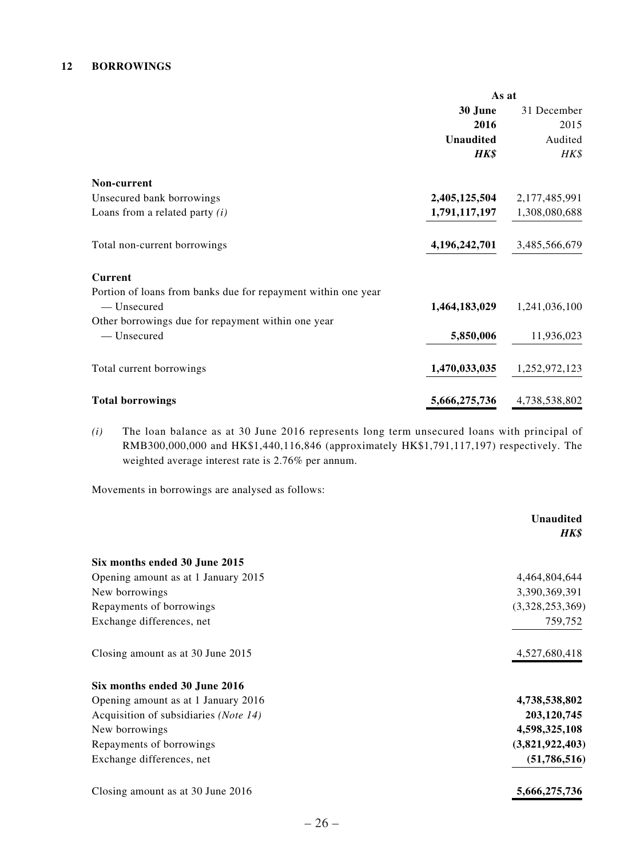### **12 BORROWINGS**

|                                                               | As at            |               |
|---------------------------------------------------------------|------------------|---------------|
|                                                               | 30 June          | 31 December   |
|                                                               | 2016             | 2015          |
|                                                               | <b>Unaudited</b> | Audited       |
|                                                               | <b>HK\$</b>      | HK\$          |
| Non-current                                                   |                  |               |
| Unsecured bank borrowings                                     | 2,405,125,504    | 2,177,485,991 |
| Loans from a related party $(i)$                              | 1,791,117,197    | 1,308,080,688 |
| Total non-current borrowings                                  | 4,196,242,701    | 3,485,566,679 |
| <b>Current</b>                                                |                  |               |
| Portion of loans from banks due for repayment within one year |                  |               |
| — Unsecured                                                   | 1,464,183,029    | 1,241,036,100 |
| Other borrowings due for repayment within one year            |                  |               |
| - Unsecured                                                   | 5,850,006        | 11,936,023    |
| Total current borrowings                                      | 1,470,033,035    | 1,252,972,123 |
| <b>Total borrowings</b>                                       | 5,666,275,736    | 4,738,538,802 |

*(i)* The loan balance as at 30 June 2016 represents long term unsecured loans with principal of RMB300,000,000 and HK\$1,440,116,846 (approximately HK\$1,791,117,197) respectively. The weighted average interest rate is 2.76% per annum.

Movements in borrowings are analysed as follows:

|                                       | <b>Unaudited</b><br>HK\$ |
|---------------------------------------|--------------------------|
| Six months ended 30 June 2015         |                          |
| Opening amount as at 1 January 2015   | 4,464,804,644            |
| New borrowings                        | 3,390,369,391            |
| Repayments of borrowings              | (3,328,253,369)          |
| Exchange differences, net             | 759,752                  |
| Closing amount as at 30 June 2015     | 4,527,680,418            |
| Six months ended 30 June 2016         |                          |
| Opening amount as at 1 January 2016   | 4,738,538,802            |
| Acquisition of subsidiaries (Note 14) | 203,120,745              |
| New borrowings                        | 4,598,325,108            |
| Repayments of borrowings              | (3,821,922,403)          |
| Exchange differences, net             | (51,786,516)             |
| Closing amount as at 30 June 2016     | 5,666,275,736            |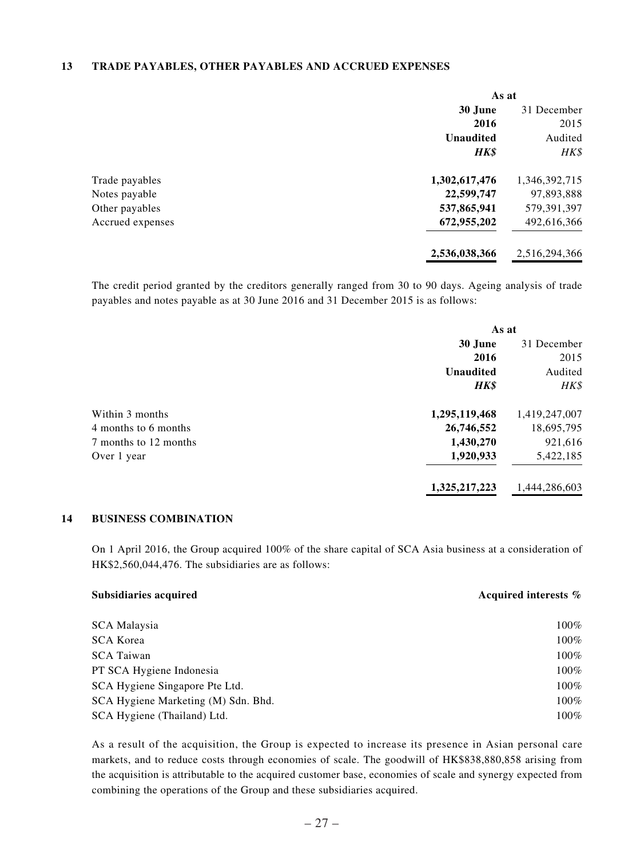#### **13 TRADE PAYABLES, OTHER PAYABLES AND ACCRUED EXPENSES**

|                  | As at            |               |
|------------------|------------------|---------------|
|                  | 30 June          | 31 December   |
|                  | 2016             | 2015          |
|                  | <b>Unaudited</b> | Audited       |
|                  | <b>HK\$</b>      | HK\$          |
| Trade payables   | 1,302,617,476    | 1,346,392,715 |
| Notes payable    | 22,599,747       | 97,893,888    |
| Other payables   | 537,865,941      | 579,391,397   |
| Accrued expenses | 672,955,202      | 492,616,366   |
|                  | 2,536,038,366    | 2,516,294,366 |

The credit period granted by the creditors generally ranged from 30 to 90 days. Ageing analysis of trade payables and notes payable as at 30 June 2016 and 31 December 2015 is as follows:

|                       | As at            |               |
|-----------------------|------------------|---------------|
|                       | 30 June          | 31 December   |
|                       | 2016             | 2015          |
|                       | <b>Unaudited</b> | Audited       |
|                       | <b>HK\$</b>      | HK\$          |
| Within 3 months       | 1,295,119,468    | 1,419,247,007 |
| 4 months to 6 months  | 26,746,552       | 18,695,795    |
| 7 months to 12 months | 1,430,270        | 921,616       |
| Over 1 year           | 1,920,933        | 5,422,185     |
|                       | 1,325,217,223    | 1,444,286,603 |

### **14 BUSINESS COMBINATION**

On 1 April 2016, the Group acquired 100% of the share capital of SCA Asia business at a consideration of HK\$2,560,044,476. The subsidiaries are as follows:

| <b>Subsidiaries acquired</b>        | Acquired interests % |
|-------------------------------------|----------------------|
| SCA Malaysia                        | $100\%$              |
| <b>SCA Korea</b>                    | $100\%$              |
| <b>SCA Taiwan</b>                   | 100%                 |
| PT SCA Hygiene Indonesia            | 100%                 |
| SCA Hygiene Singapore Pte Ltd.      | $100\%$              |
| SCA Hygiene Marketing (M) Sdn. Bhd. | 100%                 |
| SCA Hygiene (Thailand) Ltd.         | $100\%$              |

As a result of the acquisition, the Group is expected to increase its presence in Asian personal care markets, and to reduce costs through economies of scale. The goodwill of HK\$838,880,858 arising from the acquisition is attributable to the acquired customer base, economies of scale and synergy expected from combining the operations of the Group and these subsidiaries acquired.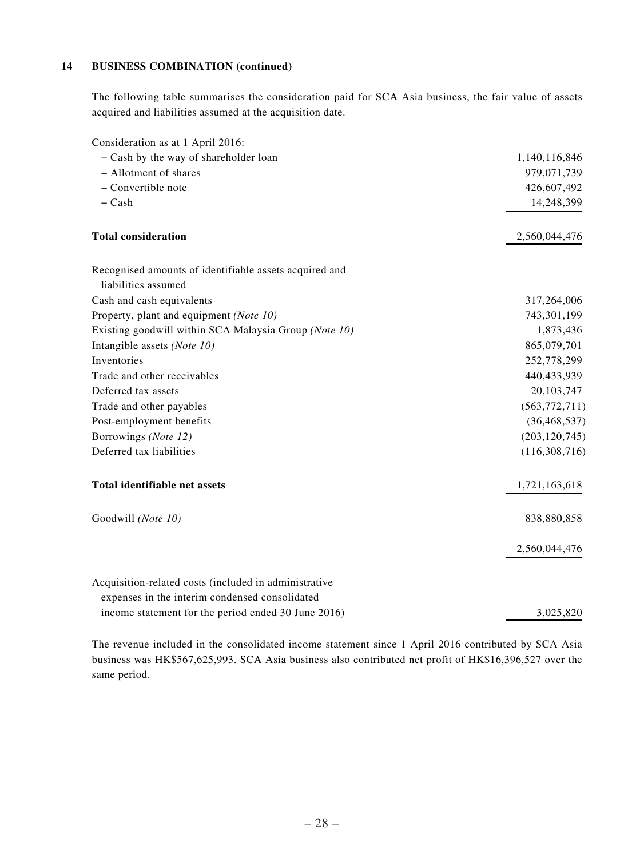### **14 BUSINESS COMBINATION (continued)**

The following table summarises the consideration paid for SCA Asia business, the fair value of assets acquired and liabilities assumed at the acquisition date.

| Consideration as at 1 April 2016:                      |                 |
|--------------------------------------------------------|-----------------|
| - Cash by the way of shareholder loan                  | 1,140,116,846   |
| - Allotment of shares                                  | 979,071,739     |
| - Convertible note                                     | 426,607,492     |
| $-$ Cash                                               | 14,248,399      |
| <b>Total consideration</b>                             | 2,560,044,476   |
| Recognised amounts of identifiable assets acquired and |                 |
| liabilities assumed                                    |                 |
| Cash and cash equivalents                              | 317,264,006     |
| Property, plant and equipment (Note 10)                | 743,301,199     |
| Existing goodwill within SCA Malaysia Group (Note 10)  | 1,873,436       |
| Intangible assets (Note 10)                            | 865,079,701     |
| Inventories                                            | 252,778,299     |
| Trade and other receivables                            | 440,433,939     |
| Deferred tax assets                                    | 20, 103, 747    |
| Trade and other payables                               | (563, 772, 711) |
| Post-employment benefits                               | (36, 468, 537)  |
| Borrowings (Note 12)                                   | (203, 120, 745) |
| Deferred tax liabilities                               | (116, 308, 716) |
| Total identifiable net assets                          | 1,721,163,618   |
| Goodwill (Note 10)                                     | 838,880,858     |
|                                                        | 2,560,044,476   |
| Acquisition-related costs (included in administrative  |                 |
| expenses in the interim condensed consolidated         |                 |
| income statement for the period ended 30 June 2016)    | 3,025,820       |

The revenue included in the consolidated income statement since 1 April 2016 contributed by SCA Asia business was HK\$567,625,993. SCA Asia business also contributed net profit of HK\$16,396,527 over the same period.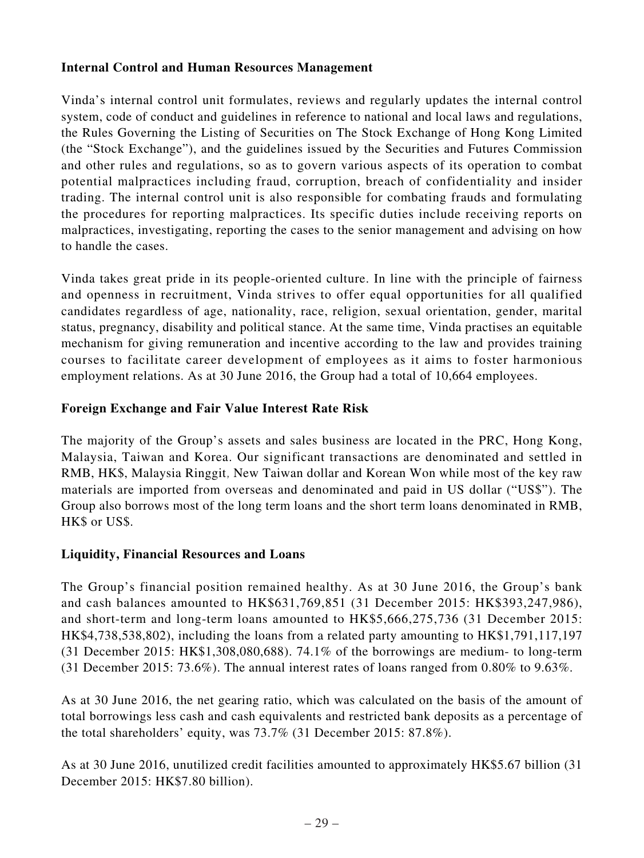# **Internal Control and Human Resources Management**

Vinda's internal control unit formulates, reviews and regularly updates the internal control system, code of conduct and guidelines in reference to national and local laws and regulations, the Rules Governing the Listing of Securities on The Stock Exchange of Hong Kong Limited (the "Stock Exchange"), and the guidelines issued by the Securities and Futures Commission and other rules and regulations, so as to govern various aspects of its operation to combat potential malpractices including fraud, corruption, breach of confidentiality and insider trading. The internal control unit is also responsible for combating frauds and formulating the procedures for reporting malpractices. Its specific duties include receiving reports on malpractices, investigating, reporting the cases to the senior management and advising on how to handle the cases.

Vinda takes great pride in its people-oriented culture. In line with the principle of fairness and openness in recruitment, Vinda strives to offer equal opportunities for all qualified candidates regardless of age, nationality, race, religion, sexual orientation, gender, marital status, pregnancy, disability and political stance. At the same time, Vinda practises an equitable mechanism for giving remuneration and incentive according to the law and provides training courses to facilitate career development of employees as it aims to foster harmonious employment relations. As at 30 June 2016, the Group had a total of 10,664 employees.

# **Foreign Exchange and Fair Value Interest Rate Risk**

The majority of the Group's assets and sales business are located in the PRC, Hong Kong, Malaysia, Taiwan and Korea. Our significant transactions are denominated and settled in RMB, HK\$, Malaysia Ringgit, New Taiwan dollar and Korean Won while most of the key raw materials are imported from overseas and denominated and paid in US dollar ("US\$"). The Group also borrows most of the long term loans and the short term loans denominated in RMB, HK\$ or US\$.

# **Liquidity, Financial Resources and Loans**

The Group's financial position remained healthy. As at 30 June 2016, the Group's bank and cash balances amounted to HK\$631,769,851 (31 December 2015: HK\$393,247,986), and short-term and long-term loans amounted to HK\$5,666,275,736 (31 December 2015: HK\$4,738,538,802), including the loans from a related party amounting to HK\$1,791,117,197 (31 December 2015: HK\$1,308,080,688). 74.1% of the borrowings are medium- to long-term (31 December 2015: 73.6%). The annual interest rates of loans ranged from 0.80% to 9.63%.

As at 30 June 2016, the net gearing ratio, which was calculated on the basis of the amount of total borrowings less cash and cash equivalents and restricted bank deposits as a percentage of the total shareholders' equity, was 73.7% (31 December 2015: 87.8%).

As at 30 June 2016, unutilized credit facilities amounted to approximately HK\$5.67 billion (31 December 2015: HK\$7.80 billion).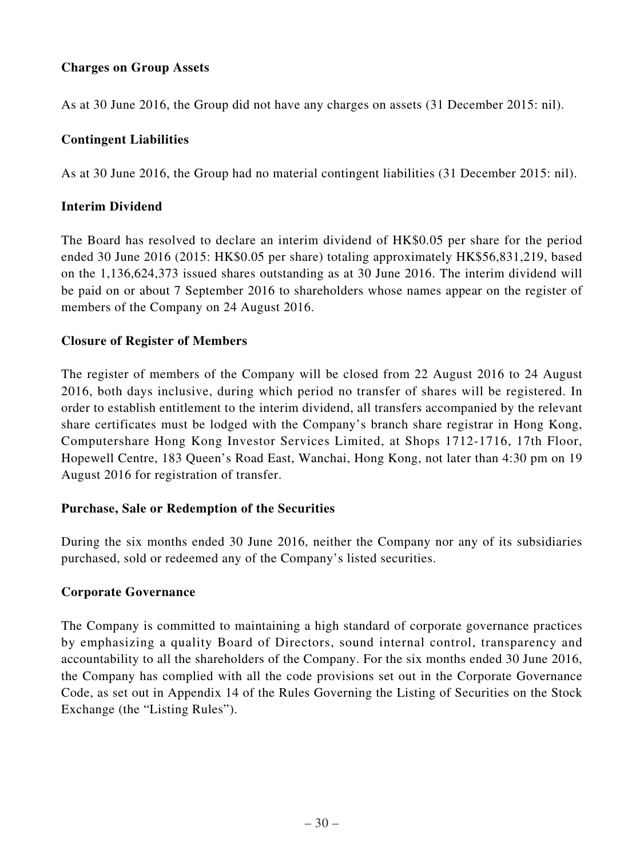# **Charges on Group Assets**

As at 30 June 2016, the Group did not have any charges on assets (31 December 2015: nil).

# **Contingent Liabilities**

As at 30 June 2016, the Group had no material contingent liabilities (31 December 2015: nil).

# **Interim Dividend**

The Board has resolved to declare an interim dividend of HK\$0.05 per share for the period ended 30 June 2016 (2015: HK\$0.05 per share) totaling approximately HK\$56,831,219, based on the 1,136,624,373 issued shares outstanding as at 30 June 2016. The interim dividend will be paid on or about 7 September 2016 to shareholders whose names appear on the register of members of the Company on 24 August 2016.

# **Closure of Register of Members**

The register of members of the Company will be closed from 22 August 2016 to 24 August 2016, both days inclusive, during which period no transfer of shares will be registered. In order to establish entitlement to the interim dividend, all transfers accompanied by the relevant share certificates must be lodged with the Company's branch share registrar in Hong Kong, Computershare Hong Kong Investor Services Limited, at Shops 1712-1716, 17th Floor, Hopewell Centre, 183 Queen's Road East, Wanchai, Hong Kong, not later than 4:30 pm on 19 August 2016 for registration of transfer.

# **Purchase, Sale or Redemption of the Securities**

During the six months ended 30 June 2016, neither the Company nor any of its subsidiaries purchased, sold or redeemed any of the Company's listed securities.

# **Corporate Governance**

The Company is committed to maintaining a high standard of corporate governance practices by emphasizing a quality Board of Directors, sound internal control, transparency and accountability to all the shareholders of the Company. For the six months ended 30 June 2016, the Company has complied with all the code provisions set out in the Corporate Governance Code, as set out in Appendix 14 of the Rules Governing the Listing of Securities on the Stock Exchange (the "Listing Rules").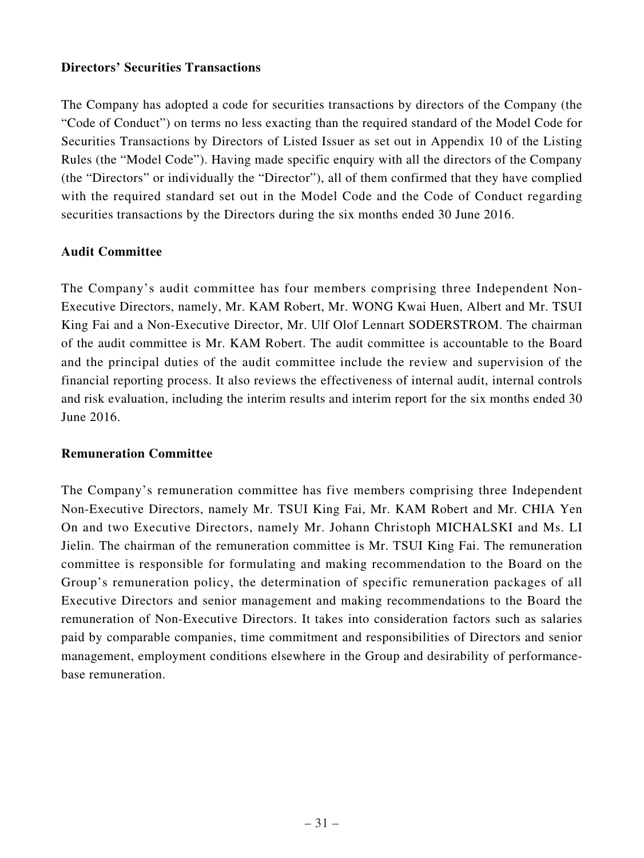# **Directors' Securities Transactions**

The Company has adopted a code for securities transactions by directors of the Company (the "Code of Conduct") on terms no less exacting than the required standard of the Model Code for Securities Transactions by Directors of Listed Issuer as set out in Appendix 10 of the Listing Rules (the "Model Code"). Having made specific enquiry with all the directors of the Company (the "Directors" or individually the "Director"), all of them confirmed that they have complied with the required standard set out in the Model Code and the Code of Conduct regarding securities transactions by the Directors during the six months ended 30 June 2016.

# **Audit Committee**

The Company's audit committee has four members comprising three Independent Non-Executive Directors, namely, Mr. KAM Robert, Mr. WONG Kwai Huen, Albert and Mr. TSUI King Fai and a Non-Executive Director, Mr. Ulf Olof Lennart SODERSTROM. The chairman of the audit committee is Mr. KAM Robert. The audit committee is accountable to the Board and the principal duties of the audit committee include the review and supervision of the financial reporting process. It also reviews the effectiveness of internal audit, internal controls and risk evaluation, including the interim results and interim report for the six months ended 30 June 2016.

# **Remuneration Committee**

The Company's remuneration committee has five members comprising three Independent Non-Executive Directors, namely Mr. TSUI King Fai, Mr. KAM Robert and Mr. CHIA Yen On and two Executive Directors, namely Mr. Johann Christoph MICHALSKI and Ms. LI Jielin. The chairman of the remuneration committee is Mr. TSUI King Fai. The remuneration committee is responsible for formulating and making recommendation to the Board on the Group's remuneration policy, the determination of specific remuneration packages of all Executive Directors and senior management and making recommendations to the Board the remuneration of Non-Executive Directors. It takes into consideration factors such as salaries paid by comparable companies, time commitment and responsibilities of Directors and senior management, employment conditions elsewhere in the Group and desirability of performancebase remuneration.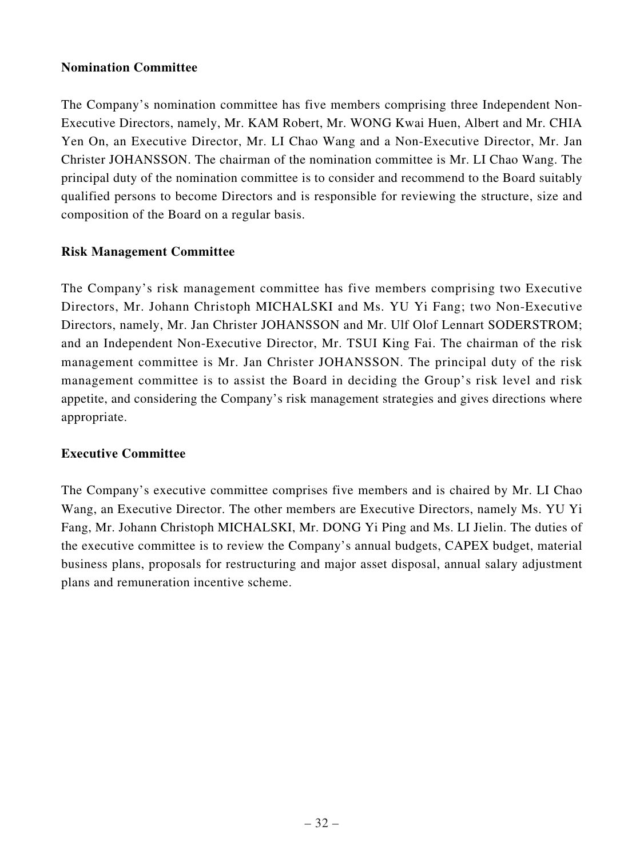# **Nomination Committee**

The Company's nomination committee has five members comprising three Independent Non-Executive Directors, namely, Mr. KAM Robert, Mr. WONG Kwai Huen, Albert and Mr. CHIA Yen On, an Executive Director, Mr. LI Chao Wang and a Non-Executive Director, Mr. Jan Christer JOHANSSON. The chairman of the nomination committee is Mr. LI Chao Wang. The principal duty of the nomination committee is to consider and recommend to the Board suitably qualified persons to become Directors and is responsible for reviewing the structure, size and composition of the Board on a regular basis.

# **Risk Management Committee**

The Company's risk management committee has five members comprising two Executive Directors, Mr. Johann Christoph MICHALSKI and Ms. YU Yi Fang; two Non-Executive Directors, namely, Mr. Jan Christer JOHANSSON and Mr. Ulf Olof Lennart SODERSTROM; and an Independent Non-Executive Director, Mr. TSUI King Fai. The chairman of the risk management committee is Mr. Jan Christer JOHANSSON. The principal duty of the risk management committee is to assist the Board in deciding the Group's risk level and risk appetite, and considering the Company's risk management strategies and gives directions where appropriate.

# **Executive Committee**

The Company's executive committee comprises five members and is chaired by Mr. LI Chao Wang, an Executive Director. The other members are Executive Directors, namely Ms. YU Yi Fang, Mr. Johann Christoph MICHALSKI, Mr. DONG Yi Ping and Ms. LI Jielin. The duties of the executive committee is to review the Company's annual budgets, CAPEX budget, material business plans, proposals for restructuring and major asset disposal, annual salary adjustment plans and remuneration incentive scheme.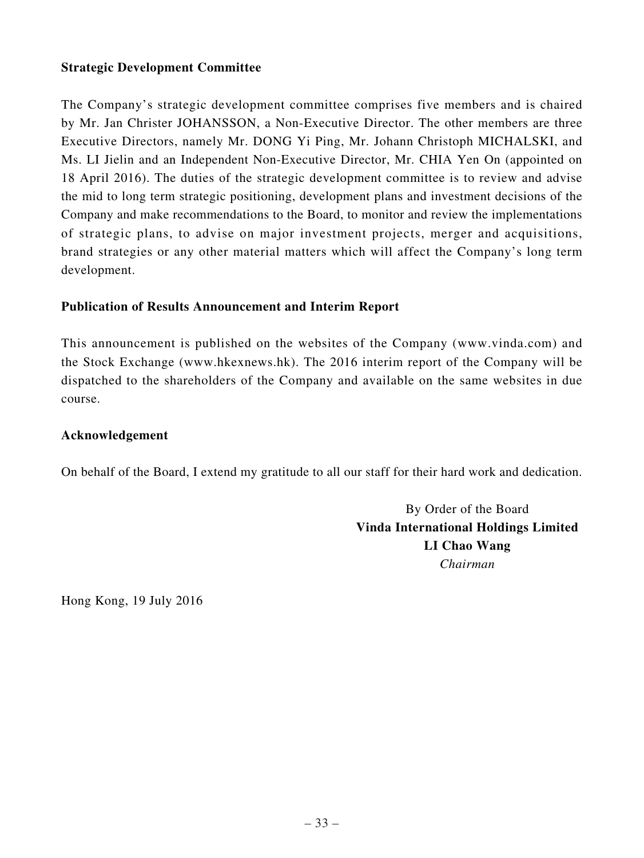# **Strategic Development Committee**

The Company's strategic development committee comprises five members and is chaired by Mr. Jan Christer JOHANSSON, a Non-Executive Director. The other members are three Executive Directors, namely Mr. DONG Yi Ping, Mr. Johann Christoph MICHALSKI, and Ms. LI Jielin and an Independent Non-Executive Director, Mr. CHIA Yen On (appointed on 18 April 2016). The duties of the strategic development committee is to review and advise the mid to long term strategic positioning, development plans and investment decisions of the Company and make recommendations to the Board, to monitor and review the implementations of strategic plans, to advise on major investment projects, merger and acquisitions, brand strategies or any other material matters which will affect the Company's long term development.

# **Publication of Results Announcement and Interim Report**

This announcement is published on the websites of the Company (www.vinda.com) and the Stock Exchange (www.hkexnews.hk). The 2016 interim report of the Company will be dispatched to the shareholders of the Company and available on the same websites in due course.

# **Acknowledgement**

On behalf of the Board, I extend my gratitude to all our staff for their hard work and dedication.

By Order of the Board **Vinda International Holdings Limited LI Chao Wang** *Chairman*

Hong Kong, 19 July 2016